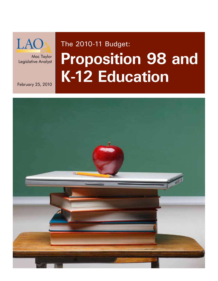

Mac Taylor Legislative Analyst

February 25, 2010

# The 2010-11 Budget: **Proposition 98 and K-12 Education**

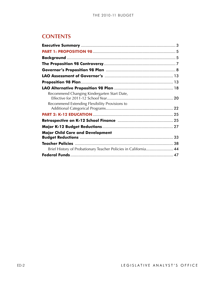| <b>CONTENTS</b>                                                 |                         |
|-----------------------------------------------------------------|-------------------------|
|                                                                 |                         |
|                                                                 |                         |
|                                                                 |                         |
|                                                                 |                         |
|                                                                 |                         |
|                                                                 |                         |
|                                                                 |                         |
|                                                                 |                         |
| Recommend Changing Kindergarten Start Date,                     |                         |
|                                                                 |                         |
| Recommend Extending Flexibility Provisions to                   |                         |
|                                                                 |                         |
|                                                                 |                         |
|                                                                 |                         |
|                                                                 |                         |
| <b>Major Child Care and Development</b>                         |                         |
|                                                                 |                         |
| Brief History of Probationary Teacher Policies in California 44 |                         |
|                                                                 |                         |
|                                                                 |                         |
|                                                                 | LEGISLATIVE ANALYST'S O |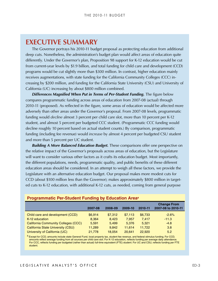### <span id="page-2-0"></span>**Executive Summary**

The Governor portrays his 2010-11 budget proposal as protecting education from additional deep cuts. Nonetheless, the administration's budget plan would affect areas of education quite differently. Under the Governor's plan, Proposition 98 support for K-12 education would be cut from current-year levels by \$1.9 billion, and total funding for child care and development (CCD) programs would be cut slightly more than \$300 million. In contrast, higher education mainly receives augmentations, with state funding for the California Community Colleges (CCC) in‑ creasing by \$200 million, and funding for the California State University (CSU) and University of California (UC) increasing by about \$800 million combined.

*Differences Magnified When Put in Terms of Per-Student Funding.* The figure below compares programmatic funding across areas of education from 2007‑08 (actual) through 2010‑11 (proposed). As reflected in the figure, some areas of education would be affected more adversely than other areas under the Governor's proposal. From 2007‑08 levels, programmatic funding would *decline* almost 3 percent per child care slot, more than 10 percent per K-12 student, and almost 5 percent per budgeted CCC student. (Programmatic CCC funding would decline roughly 10 percent based on actual student counts.) By comparison, programmatic funding (including fee revenue) would *increase* by almost 4 percent per budgeted CSU student and more than 5 percent per UC student.

*Building A More Balanced Education Budget.* These comparisons offer one perspective on the relative impact of the Governor's proposals across areas of education, but the Legislature will want to consider various other factors as it crafts its education budget. Most importantly, the different populations, needs, programmatic quality, and public benefits of these different education areas should be considered. In an attempt to weigh all these factors, we provide the Legislature with an alternative education budget. Our proposal makes more modest cuts for CCD (about \$100 million less than the Governor); makes approximately \$800 million in target‑ ed cuts to K-12 education, with additional K-12 cuts, as needed, coming from general purpose

|                                            | 2007-08 | 2008-09 | 2009-10 | 2010-11 | <b>Change From</b><br>2007-08 to 2010-11 |
|--------------------------------------------|---------|---------|---------|---------|------------------------------------------|
| Child care and development (CCD)           | \$6,914 | \$7,312 | \$7,113 | \$6,733 | $-2.6%$                                  |
| K-12 education                             | 8.364   | 8.423   | 7.957   | 7.417   | $-11.3$                                  |
| <b>California Community Colleges (CCC)</b> | 5.591   | 5.499   | 5.376   | 5.321   | $-4.8$                                   |
| California State University (CSU)          | 11,289  | 9.842   | 11.614  | 11,722  | 3.8                                      |
| University of California (UC)              | 21,778  | 18.054  | 20.641  | 22,920  | 5.2                                      |

#### **Programmatic Per-Student Funding by Education Areaa**

a Except for CCD, amounts include state General Fund, local property tax, student fee revenue, and federal stimulus funding. For CCD, amounts reflect average funding from all sources per child care slot. For K-12 education, reflects funding per average daily attendance. For CCC, reflects funding per budgeted (rather than actual) full-time equivalent (FTE) student. For UC and CSU, reflects funding per FTE student.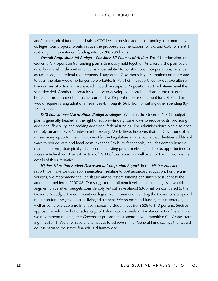colleges. Our proposal would reduce the proposed augmentations for UC and CSU, while still restoring their per-student funding rates to 2007‑08 levels.

*Overall Proposition 98 Budget—Consider All Courses of Action.* For K-14 education, the Governor's Proposition 98 funding plan is tenuously held together. As a result, the plan could quickly unravel under certain circumstances related to constitutional interpretations, revenue assumptions, and federal requirements. If any of the Governor's key assumptions do not come to pass, the plan would no longer be workable. In Part I of this report, we lay out two alternative courses of action. One approach would be suspend Proposition 98 to whatever level the state decided. Another approach would be to develop additional solutions in the rest of the budget in order to meet the higher current-law Proposition 98 requirement for 2010-11. This would require raising additional revenues (by roughly \$6 billion) or cutting other spending (by \$3.2 billion).

*K-12 Education—Use Multiple Budget Strategies.* We think the Governor's K-12 budget plan is generally headed in the right direction—finding some ways to reduce costs, providing additional flexibility, and seeking additional federal funding. The administration's plan also does not rely on any new K-12 inter-year borrowing. We believe, however, that the Governor's plan misses many opportunities. Thus, we offer the Legislature an alternative that identifies additional ways to reduce state and local costs, expands flexibility for schools, includes comprehensive mandate reform, strategically aligns certain existing program efforts, and seeks opportunities to increase federal aid. The last section of Part I of this report, as well as all of Part II, provide the details of this alternative.

and/or categorical funding; and risks CCC fees to provide additional funding for community<br>cosliques. Our proposal vouid reduces CCC fees to provide additional funding for community<br>in the case of the procession of the pro *Higher Education Budget Discussed in Companion Report.* In our *Higher Education* report, we make various recommendations relating to postsecondary education. For the universities, we recommend the Legislature aim to restore funding per university student to the amounts provided in 2007‑08. Our suggested enrollment levels at this funding level would augment universities' budgets considerably but still save almost \$300 million compared to the Governor's budget. For community colleges, we recommend rejecting the Governor's proposed reduction for a negative cost-of-living adjustment. We recommend funding this restoration, as well as some overcap enrollment by increasing student fees from \$26 to \$40 per unit. Such an approach would take better advantage of federal dollars available for students. For financial aid, we recommend rejecting the Governor's proposal to suspend new competitive Cal Grants starting in 2010-11. We offer several alternatives to achieve similar General Fund savings that would do less harm to the state's financial aid framework.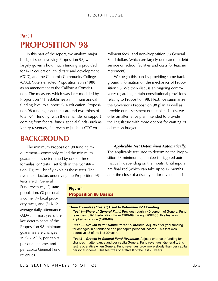## <span id="page-4-0"></span>**Part 1 Proposition 98**

In this part of the report, we analyze major budget issues involving Proposition 98, which largely governs how much funding is provided for K-12 education, child care and development (CCD), and the California Community Colleges (CCC). Voters enacted Proposition 98 in 1988 as an amendment to the California Constitution. The measure, which was later modified by Proposition 111, establishes a minimum annual funding level to support K-14 education. Proposition 98 funding constitutes around two-thirds of total K-14 funding, with the remainder of support coming from federal funds, special funds (such as lottery revenues), fee revenue (such as CCC en-

**BACKGROUND** 

The minimum Proposition 98 funding re‑ quirement—commonly called the minimum guarantee—is determined by one of three formulas (or "tests") set forth in the Constitution. Figure 1 briefly explains these tests. The five major factors underlying the Proposition 98 rollment fees), and non-Proposition 98 General Fund dollars (which are largely dedicated to debt service on school facilities and costs for teacher retirement).

We begin this part by providing some background information on the mechanics of Propo‑ sition 98. We then discuss an ongoing controversy regarding certain constitutional provisions relating to Proposition 98. Next, we summarize the Governor's Proposition 98 plan as well as provide our assessment of that plan. Lastly, we offer an alternative plan intended to provide the Legislature with more options for crafting its education budget.

*Applicable Test Determined Automatically.* 

The applicable test used to determine the Proposition 98 minimum guarantee is triggered automatically depending on the inputs. Until inputs are finalized (which can take up to 12 months after the close of a fiscal year for revenue and

tests are (1) General Fund revenues, (2) state population, (3) personal income, (4) local property taxes, and (5) K-12 average daily attendance (ADA). In most years, the key determinants of the Proposition 98 minimum guarantee are changes in K-12 ADA, per capita personal income, and per capita General Fund revenues.

#### **Figure 1 Proposition 98 Basics**

#### **Three Formulas ("Tests") Used to Determine K-14 Funding:**

*Test 1—Share of General Fund.* Provides roughly 40 percent of General Fund revenues to K-14 education. From 1988-89 through 2007-08, this test was applied only once (1988-89).

*Test 2—Growth in Per Capita Personal Income.* Adjusts prior-year funding for changes in attendance and per capita personal income. This test was operative 13 of the last 20 years.

*Test 3—Growth in General Fund Revenues.* Adjusts prior-year funding for changes in attendance and per capita General Fund revenues. Generally, this test is operative when General Fund revenues grow more slowly than per capita personal income. This test was operative 6 of the last 20 years.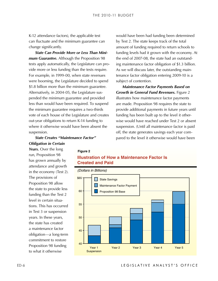can fluctuate and the minimum guarantee can change significantly.

*State Can Provide More or Less Than Minimum Guarantee.* Although the Proposition 98 tests apply automatically, the Legislature can provide more or less funding than the tests require. For example, in 1999‑00, when state revenues were booming, the Legislature decided to spend \$1.8 billion more than the minimum guarantee. Alternatively, in 2004-05, the Legislature suspended the minimum guarantee and provided less than would have been required. To suspend the minimum guarantee requires a two-thirds vote of each house of the Legislature and creates out-year obligations to return K-14 funding to where it otherwise would have been absent the suspension.

would have been had funding been determined by Test 2. The state keeps track of the total amount of funding required to return schools to funding levels had it grown with the economy. At the end of 2007-08, the state had an outstanding maintenance factor obligation of \$1.3 billion. As we will discuss later, the outstanding maintenance factor obligation entering 2009‑10 is a subject of contention.

*Maintenance Factor Payments Based on Growth in General Fund Revenues.* Figure 2 illustrates how maintenance factor payments are made. Proposition 98 requires the state to provide additional payments in future years until funding has been built up to the level it otherwise would have reached under Test 2 or absent suspension. (Until all maintenance factor is paid off, the state generates savings each year compared to the level it otherwise would have been

*State Creates "Maintenance Factor" Obligation in Certain* 

*Years.* Over the long run, Proposition 98 has grown annually by attendance and growth in the economy (Test 2). The provisions of Proposition 98 allow the state to provide less funding than the Test 2 level in certain situations. This has occurred in Test 3 or suspension years. In these years, the state has created a maintenance factor obligation—a long-term commitment to restore Proposition 98 funding to what it otherwise

#### **Figure 2**

### **Illustration of How a Maintenance Factor Is Created and Paid**

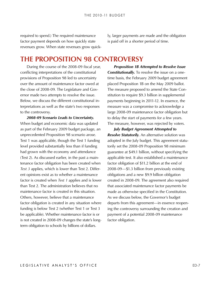<span id="page-6-0"></span>required to spend.) The required maintenance factor payment depends on how quickly state revenues grow. When state revenues grow quickly, larger payments are made and the obligation is paid off in a shorter period of time.

### **The Proposition 98 Controversy**

During the course of the 2008‑09 fiscal year, conflicting interpretations of the constitutional provisions of Proposition 98 led to uncertainty over the amount of maintenance factor owed at the close of 2008-09. The Legislature and Governor made two attempts to resolve the issue. Below, we discuss the different constitutional interpretations as well as the state's two responses to the controversy.

*2008-09 Scenario Leads to Uncertainty.* When budget and economic data was updated as part of the February 2009 budget package, an unprecedented Proposition 98 scenario arose. Test 1 was applicable, though the Test 1 funding level provided substantially less than if funding had grown with the economy and attendance (Test 2). As discussed earlier, in the past a main‑ tenance factor obligation has been created when *Test 3* applies, which is lower than Test 2. Different opinions exist as to whether a maintenance factor is created when *Test 1* applies and is lower than Test 2. The administration believes that no maintenance factor is created in this situation. Others, however, believe that a maintenance factor obligation is created in any situation where funding is below Test 2 (whether Test 1 or Test 3 be applicable). Whether maintenance factor is or is not created in 2008‑09 changes the state's longterm obligation to schools by billions of dollars.

*Proposition 1B Attempted to Resolve Issue Constitutionally.* To resolve the issue on a onetime basis, the February 2009 budget agreement placed Proposition 1B on the May 2009 ballot. The measure proposed to amend the State Constitution to require \$9.3 billion in supplemental payments beginning in 2011‑12. In essence, the measure was a compromise to acknowledge a large 2008‑09 maintenance factor obligation but to delay the start of payments for a few years. The measure, however, was rejected by voters.

*July Budget Agreement Attempted to Resolve Statutorily.* An alternative solution was adopted in the July budget. This agreement statutorily set the 2008‑09 Proposition 98 minimum guarantee at \$49.1 billion, without specifying the applicable test. It also established a maintenance factor obligation of \$11.2 billion at the end of 2008‑09—\$1.3 billion from previously existing obligations and a new \$9.9 billion obligation created in 2008‑09. The agreement also required that associated maintenance factor payments be made as otherwise specified in the Constitution. As we discuss below, the Governor's budget departs from this agreement—in essence reopening the controversy surrounding the creation and payment of a potential 2008‑09 maintenance factor obligation.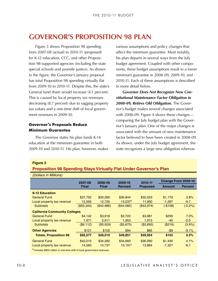#### **Governor's Proposals Reduce Minimum Guarantee**

#### **Figure 3**

#### **Proposition 98 Spending Stays Virtually Flat Under Governor's Plan**

<span id="page-7-0"></span>

| <b>GOVERNOR'S PROPOSITION 98 PLAN</b>                                                                                                                                                                                                                                                                                                                                                                                                                                                                                                                                                                                                                                                                                                                                                                                                                        |              |              |                       |                                                                                                                                                                                                                                                                                                                                                                                                                                                                                                                                                                                                                                                                                                                                                                                                                                                                                                                |                     |                |
|--------------------------------------------------------------------------------------------------------------------------------------------------------------------------------------------------------------------------------------------------------------------------------------------------------------------------------------------------------------------------------------------------------------------------------------------------------------------------------------------------------------------------------------------------------------------------------------------------------------------------------------------------------------------------------------------------------------------------------------------------------------------------------------------------------------------------------------------------------------|--------------|--------------|-----------------------|----------------------------------------------------------------------------------------------------------------------------------------------------------------------------------------------------------------------------------------------------------------------------------------------------------------------------------------------------------------------------------------------------------------------------------------------------------------------------------------------------------------------------------------------------------------------------------------------------------------------------------------------------------------------------------------------------------------------------------------------------------------------------------------------------------------------------------------------------------------------------------------------------------------|---------------------|----------------|
| Figure 3 shows Proposition 98 spending<br>from 2007-08 (actual) to 2010-11 (proposed)<br>for K-12 education, CCC, and other Proposi-<br>tion 98-supported agencies (including the state<br>special schools and juvenile justice). As shown<br>in the figure, the Governor's January proposal<br>has total Proposition 98 spending virtually flat<br>from 2009-10 to 2010-11. Despite this, the state's<br>General fund share would increase (4.1 percent).<br>This is caused by local property tax revenues<br>decreasing (8.7 percent) due to sagging property<br>tax values and a one-time shift of local govern-<br>ment revenues in 2009-10.<br><b>Governor's Proposals Reduce</b><br><b>Minimum Guarantee</b><br>The Governor states his plan funds K-14<br>education at the minimum guarantee in both<br>2009-10 and 2010-11. His plan, however, makes |              |              | in more detail below. | various assumptions and policy changes that<br>affect the minimum guarantee. Most notably,<br>his plan departs in several ways from the July<br>budget agreement. Coupled with other compo-<br>nents, these budget assumptions result in a lower<br>minimum guarantee in 2008-09, 2009-10, and<br>2010-11. Each of these assumptions is described<br><b>Governor Does Not Recognize New Con-</b><br>stitutional Maintenance Factor Obligation in<br>2008-09, Retires Old Obligation. The Gover-<br>nor's budget makes several changes associated<br>with 2008-09. Figure 4 shows these changes-<br>comparing the July budget plan with the Gover-<br>nor's January plan. One of the major changes is<br>associated with the amount of new maintenance<br>factor believed to have been created in 2008-09.<br>As shown, under the July budget agreement, the<br>state recognizes a large new obligation whereas |                     |                |
| <b>Figure 3</b>                                                                                                                                                                                                                                                                                                                                                                                                                                                                                                                                                                                                                                                                                                                                                                                                                                              |              |              |                       |                                                                                                                                                                                                                                                                                                                                                                                                                                                                                                                                                                                                                                                                                                                                                                                                                                                                                                                |                     |                |
| <b>Proposition 98 Spending Stays Virtually Flat Under Governor's Plan</b>                                                                                                                                                                                                                                                                                                                                                                                                                                                                                                                                                                                                                                                                                                                                                                                    |              |              |                       |                                                                                                                                                                                                                                                                                                                                                                                                                                                                                                                                                                                                                                                                                                                                                                                                                                                                                                                |                     |                |
| (Dollars in Millions)                                                                                                                                                                                                                                                                                                                                                                                                                                                                                                                                                                                                                                                                                                                                                                                                                                        |              |              |                       |                                                                                                                                                                                                                                                                                                                                                                                                                                                                                                                                                                                                                                                                                                                                                                                                                                                                                                                |                     |                |
|                                                                                                                                                                                                                                                                                                                                                                                                                                                                                                                                                                                                                                                                                                                                                                                                                                                              | 2007-08      | 2008-09      | 2009-10               | 2010-11                                                                                                                                                                                                                                                                                                                                                                                                                                                                                                                                                                                                                                                                                                                                                                                                                                                                                                        | Change From 2009-10 |                |
|                                                                                                                                                                                                                                                                                                                                                                                                                                                                                                                                                                                                                                                                                                                                                                                                                                                              | <b>Final</b> | <b>Final</b> | <b>Revised</b>        | <b>Proposed</b>                                                                                                                                                                                                                                                                                                                                                                                                                                                                                                                                                                                                                                                                                                                                                                                                                                                                                                | <b>Amount</b>       | <b>Percent</b> |
| <b>K-12 Education</b>                                                                                                                                                                                                                                                                                                                                                                                                                                                                                                                                                                                                                                                                                                                                                                                                                                        |              |              |                       |                                                                                                                                                                                                                                                                                                                                                                                                                                                                                                                                                                                                                                                                                                                                                                                                                                                                                                                |                     |                |
| <b>General Fund</b>                                                                                                                                                                                                                                                                                                                                                                                                                                                                                                                                                                                                                                                                                                                                                                                                                                          | \$37,752     | \$30,260     | \$30,844              | \$32,023                                                                                                                                                                                                                                                                                                                                                                                                                                                                                                                                                                                                                                                                                                                                                                                                                                                                                                       | \$1,179             | 3.8%           |
| Local property tax revenue                                                                                                                                                                                                                                                                                                                                                                                                                                                                                                                                                                                                                                                                                                                                                                                                                                   | 12,592       | 12,726       | $13,237$ <sup>a</sup> | 11,950                                                                                                                                                                                                                                                                                                                                                                                                                                                                                                                                                                                                                                                                                                                                                                                                                                                                                                         | $-1,287$            | $-9.7$         |
| <b>Subtotals</b>                                                                                                                                                                                                                                                                                                                                                                                                                                                                                                                                                                                                                                                                                                                                                                                                                                             | (\$50,344)   | (\$42,986)   | (\$44,082)            | (\$43,974)                                                                                                                                                                                                                                                                                                                                                                                                                                                                                                                                                                                                                                                                                                                                                                                                                                                                                                     | $(-$108)$           | $(-0.2%)$      |
| <b>California Community Colleges</b>                                                                                                                                                                                                                                                                                                                                                                                                                                                                                                                                                                                                                                                                                                                                                                                                                         |              |              |                       |                                                                                                                                                                                                                                                                                                                                                                                                                                                                                                                                                                                                                                                                                                                                                                                                                                                                                                                |                     |                |
| <b>General Fund</b>                                                                                                                                                                                                                                                                                                                                                                                                                                                                                                                                                                                                                                                                                                                                                                                                                                          | \$4,142      | \$3,918      | \$3,722               | \$3,981                                                                                                                                                                                                                                                                                                                                                                                                                                                                                                                                                                                                                                                                                                                                                                                                                                                                                                        | \$259               | 7.0%           |
| Local property tax revenue                                                                                                                                                                                                                                                                                                                                                                                                                                                                                                                                                                                                                                                                                                                                                                                                                                   | 1,971        | 2,011        | 1,953                 | 1,913                                                                                                                                                                                                                                                                                                                                                                                                                                                                                                                                                                                                                                                                                                                                                                                                                                                                                                          | $-40$               | $-2.0$         |
| <b>Subtotals</b>                                                                                                                                                                                                                                                                                                                                                                                                                                                                                                                                                                                                                                                                                                                                                                                                                                             | (\$6, 112)   | (\$5,929)    | (\$5,675)             | (\$5,895)                                                                                                                                                                                                                                                                                                                                                                                                                                                                                                                                                                                                                                                                                                                                                                                                                                                                                                      | (\$219)             | (3.9%)         |
| <b>Other Agencies</b>                                                                                                                                                                                                                                                                                                                                                                                                                                                                                                                                                                                                                                                                                                                                                                                                                                        | \$121        | \$105        | \$94                  | \$85                                                                                                                                                                                                                                                                                                                                                                                                                                                                                                                                                                                                                                                                                                                                                                                                                                                                                                           | $- $9$              | $-9.1%$        |
| <b>Totals, Proposition 98</b>                                                                                                                                                                                                                                                                                                                                                                                                                                                                                                                                                                                                                                                                                                                                                                                                                                | \$56,577     | \$49,019     | \$49,851              | \$49,954                                                                                                                                                                                                                                                                                                                                                                                                                                                                                                                                                                                                                                                                                                                                                                                                                                                                                                       | \$103               | 0.2%           |
| <b>General Fund</b>                                                                                                                                                                                                                                                                                                                                                                                                                                                                                                                                                                                                                                                                                                                                                                                                                                          | \$42,015     | \$34,282     | \$34,660              | \$36,090                                                                                                                                                                                                                                                                                                                                                                                                                                                                                                                                                                                                                                                                                                                                                                                                                                                                                                       | \$1,430             | 4.1%           |
| Local property tax revenue                                                                                                                                                                                                                                                                                                                                                                                                                                                                                                                                                                                                                                                                                                                                                                                                                                   | 14,563       | 14,737       | $15,191^a$            | 13,864                                                                                                                                                                                                                                                                                                                                                                                                                                                                                                                                                                                                                                                                                                                                                                                                                                                                                                         | $-1,327$            | $-8.7$         |
| a Includes \$850 million in one-time shift of local government revenues.                                                                                                                                                                                                                                                                                                                                                                                                                                                                                                                                                                                                                                                                                                                                                                                     |              |              |                       |                                                                                                                                                                                                                                                                                                                                                                                                                                                                                                                                                                                                                                                                                                                                                                                                                                                                                                                |                     |                |
|                                                                                                                                                                                                                                                                                                                                                                                                                                                                                                                                                                                                                                                                                                                                                                                                                                                              |              |              |                       |                                                                                                                                                                                                                                                                                                                                                                                                                                                                                                                                                                                                                                                                                                                                                                                                                                                                                                                |                     |                |
|                                                                                                                                                                                                                                                                                                                                                                                                                                                                                                                                                                                                                                                                                                                                                                                                                                                              |              |              |                       | LEGISLATIVE ANALYST'S OFFICE                                                                                                                                                                                                                                                                                                                                                                                                                                                                                                                                                                                                                                                                                                                                                                                                                                                                                   |                     |                |
|                                                                                                                                                                                                                                                                                                                                                                                                                                                                                                                                                                                                                                                                                                                                                                                                                                                              |              |              |                       |                                                                                                                                                                                                                                                                                                                                                                                                                                                                                                                                                                                                                                                                                                                                                                                                                                                                                                                |                     |                |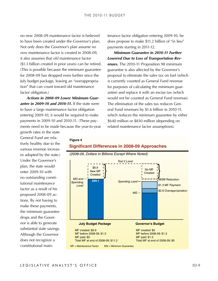no new 2008-09 maintenance factor is believed to have been created under the Governor's plan. Not only does the Governor's plan assume no *new* maintenance factor is created in 2008‑09, it also assumes that *old* maintenance factor (\$1.3 billion created in prior years) can be retired. (This is possible because the minimum guarantee for 2008-09 has dropped even further since the July budget package, leaving an "overappropriation" that can count toward old maintenance factor obligation.)

*Actions in 2008-09 Lower Minimum Guarantee in 2009-10 and 2010-11.* If the state were to have a large maintenance factor obligation entering 2009-10, it would be required to make payments in 2009-10 and 2010-11. (These payments need to be made because the year-to-year

**Figure 4**

tenance factor obligation entering 2009-10, he does propose to make \$11.2 billion of "in lieu" payments starting in 2011-12.

*Minimum Guarantee in 2010-11 Further Lowered Due to Loss of Transportation Revenues.* The 2010-11 Proposition 98 minimum guarantee is also affected by the Governor's proposal to eliminate the sales tax on fuel (which is currently counted as General Fund revenue for purposes of calculating the minimum guarantee) and replace it with an excise tax (which would not be counted as General Fund revenue). The elimination of the sales tax reduces General Fund revenues by \$1.6 billion in 2010-11, which reduces the minimum guarantee by either \$640 million or \$830 million (depending on related maintenance factor assumptions).

growth rates in the state General Fund are rela‑ tively healthy due to the various revenue increas‑ es adopted by the state.) Under the Governor's plan, the state would enter 2009-10 with no outstanding consti‑ tutional maintenance factor as a result of his proposed 2008-09 ac‑ tions. By not having to make these payments, the minimum guarantee drops and the Gover‑ nor is able to generate substantial state savings. Although the Governor does not recognize a constitutional main‑



#### **Significant Differences in 2008-09 Approaches**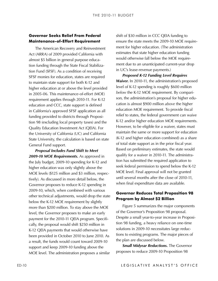## **Maintenance-of-Effort Requirement**

The American Recovery and Reinvestment Act (ARRA) of 2009 provided California with almost \$5 billion in general purpose education funding through the State Fiscal Stabilization Fund (SFSF). As a condition of receiving SFSF monies for education, states are required to maintain state support for both K-12 and higher education at or above the level provided in 2005-06. This maintenance-of-effort (MOE) requirement applies through 2010-11. For K-12 education and CCC, state support is defined in California's approved SFSF application as all funding provided to districts through Proposition 98 (excluding local property taxes) and the Quality Education Investment Act (QEIA). For the University of California (UC) and California State University, the calculation is based on state General Fund support.

**Governor Seeks Relief From Federal** *shink* **of SO million in GCC QRA churding Accordination and the construction of CRA interest Religions. The milion is the constrained the constrained member of the figure endant in the a** *Proposal Includes Fund Shift to Meet 2009-10 MOE Requirements.* As approved in the July budget, 2009-10 spending for K-12 and higher education was only slightly above the MOE levels (\$125 million and \$3 million, respectively). As discussed in more detail below, the Governor proposes to reduce K-12 spending in 2009-10, which, when combined with various other technical adjustments, would drop the state below the K-12 MOE requirement by slightly more than \$200 million. To stay above the MOE level, the Governor proposes to make an early payment for the 2010-11 QEIA program. Specifically, the proposal would shift \$250 million in K-12 QEIA payments that would otherwise have been provided in October 2010 to June 2010. As a result, the funds would count toward 2009-10 support and keep 2009-10 funding above the MOE level. The administration proposes a similar

shift of \$30 million in CCC QEIA funding to ensure the state meets the 2009-10 MOE requirement for higher education. (The administration estimates that state higher education funding would otherwise fall below the MOE requirement due to an unanticipated current-year drop in UC's lease-revenue payments.)

*Proposed K-12 Funding Level Requires Waiver.* In 2010-11, the administration's proposed level of K-12 spending is roughly \$600 million below the K-12 MOE requirement. By comparison, the administration's proposal for higher education is almost \$900 million *above* the higher education MOE requirement. To provide fiscal relief to states, the federal government can waive K-12 and/or higher education MOE requirements. However, to be eligible for a waiver, states must maintain the same or more support for education (K-12 and higher education combined) as a share of total state support as in the prior fiscal year. Based on preliminary estimates, the state would qualify for a waiver in 2010-11. The administration has submitted the required application to seek federal permission to spend below the K-12 MOE level. Final approval will not be granted until several months after the close of 2010-11, when final expenditure data are available.

#### **Governor Reduces Total Proposition 98 Program by Almost \$2 Billion**

Figure 5 summarizes the major components of the Governor's Proposition 98 proposal. Despite a small year-to-year increase in Proposition 98 funding, a heavy reliance on one-time solutions in 2009-10 necessitates large reductions to existing programs. The major pieces of the plan are discussed below.

*Small Midyear Reductions.* The Governor proposes to reduce 2009-10 Proposition 98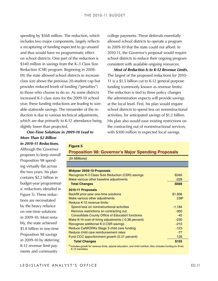spending by \$568 million. The reduction, which includes two major components, largely reflects a recapturing of funding expected to go unused and thus would have no programmatic effect on school districts. One part of the reduction is \$340 million in savings from the K–3 Class Size Reduction (CSR) program. Beginning in 2008-09, the state allowed school districts to increase class size above the previous 20-student cap but provides reduced levels of funding ("penalties") to those who choose to do so. As some districts increased K-3 class sizes for the 2009-10 school year, these funding reductions are leading to sizeable statewide savings. The remainder of the re‑ duction is due to various technical adjustments, which are due primarily to K-12 attendance being slightly lower than projected.

college payments. These deferrals essentially allowed school districts to operate a program in 2009-10 that the state could not afford. In 2010-11, the Governor's proposal would require school districts to reduce their ongoing program consistent with available ongoing resources.

*Most of Reduction Is to K-12 Revenue Limits.*  The largest of the proposed reductions for 2010-11 is a \$1.5 billion cut to K-12 general purpose funding (commonly known as revenue limits). The reduction is tied to three policy changes the administration expects will provide savings at the local level. First, his plan would require school districts to spend less on noninstructional activities, for anticipated savings of \$1.2 billion. His plan also would ease existing restrictions on the contracting out of noninstructional services, with \$300 million in expected local savings.

*One-Time Solutions in 2009-10 Lead to More Than \$2 Billion in 2010-11 Reductions.*

Although the Governor proposes to keep overall Proposition 98 spend‑ ing virtually flat across the two years, his plan contains \$2.2 billion in budget-year programmat‑ ic reductions (detailed in Figure 5). These reductions are necessitated by the heavy reliance on one-time solutions in 2009-10. Most nota‑ bly, the state achieved \$1.8 billion in one-time Proposition 98 savings in 2009-10 by deferring K-12 revenue limit payments and community

### **Figure 5 Proposition 98: Governor's Major Spending Proposals**

| (In Millions)                                                                                                                   |                  |
|---------------------------------------------------------------------------------------------------------------------------------|------------------|
|                                                                                                                                 |                  |
| Midyear 2009-10 Proposals                                                                                                       |                  |
| Recognize K-3 Class Size Reduction (CSR) savings                                                                                | $-$ \$340        |
| Make various other baseline adjustments                                                                                         | $-228$           |
| <b>Total Changes</b>                                                                                                            | $-$568$          |
| 2010-11 Proposals                                                                                                               |                  |
| Backfill prior-year one-time solutions                                                                                          | \$1,908          |
| Make various other adjustments                                                                                                  | 238 <sup>a</sup> |
| Reduce K-12 revenue limits:                                                                                                     |                  |
| Spend less on noninstructional activities                                                                                       | $-1,184$         |
| Remove restrictions on contracting out                                                                                          | $-300$           |
| <b>Consolidate County Office of Education functions</b>                                                                         | $-45$            |
| Make K-14 cost-of-living adjustments (-0.38 percent)                                                                            | $-230$           |
| Recognize additional K-3 CSR savings                                                                                            | $-210$           |
| Reduce CalWORKs Stage 3 child care funding                                                                                      | $-123$           |
| Reduce child care reimbursement rates                                                                                           | $-77$            |
| Fund CCC apportionment growth (2.21 percent)                                                                                    | 126              |
| <b>Total Changes</b>                                                                                                            | \$103            |
| a Includes growth for revenue limits, special education, and child nutrition. Also includes funding for three<br>K-12 mandates. |                  |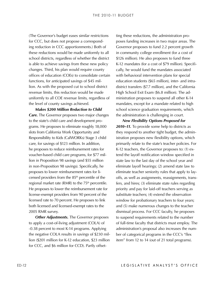for CCC, but does not propose a corresponding reduction in CCC apportionments.) Both of these reductions would be made uniformly to all school districts, regardless of whether the district is able to achieve savings from these new policy changes. Third, his plan would require county offices of education (COEs) to consolidate certain functions, for anticipated savings of \$45 million. As with the proposed cut to school district revenue limits, this reduction would be made uniformly to all COE revenue limits, regardless of the level of county savings achieved.

*Makes \$200 Million Reduction to Child Care.* The Governor proposes two major changes to the state's child care and development programs. He proposes to eliminate roughly 18,000 slots from California Work Opportunity and Responsibility to Kids (CalWORKs) Stage 3 child care, for savings of \$123 million. In addition, he proposes to reduce reimbursement rates for voucher-based child care programs, for \$77 million in Proposition 98 savings (and \$55 million in non-Proposition 98 savings). Specifically, he proposes to lower reimbursement rates for licensed providers from the 85<sup>th</sup> percentile of the regional market rate (RMR) to the  $75<sup>th</sup>$  percentile. He proposes to lower the reimbursement rate for license-exempt providers from 90 percent of the licensed rate to 70 percent. He proposes to link both licensed and licensed-exempt rates to the 2005 RMR survey.

*Other Adjustments.* The Governor proposes to apply a cost-of-living adjustment (COLA) of -0.38 percent to most K-14 programs. Applying the negative COLA results in savings of \$230 million (\$201 million for K-12 education, \$23 million for CCC, and \$6 million for CCD). Partly offsetting these reductions, the administration proposes funding increases in two major areas. The Governor proposes to fund 2.2 percent growth in community college enrollment (for a cost of \$126 million). He also proposes to fund three K-12 mandates (for a cost of \$79 million). Specifically, he would fund the mandates associated with behavioral intervention plans for special education students (\$65 million), inter- and intradistrict transfers (\$7.7 million), and the California High School Exit Exam (\$6.8 million). The ad‑ ministration proposes to suspend all other K-14 mandates, except for a mandate related to high school science graduation requirements, which the administration is challenging in court.

The Governor's budget coass-initial restrictions in the describesion in the coministation in combination proposes in two major accounts of the Governor's budget eases funding increases in two major accounts of the Governo *New Flexibility Options Proposed for 2010–11.* To provide some help to districts as they respond to another tight budget, the admin‑ istration proposes new flexibility options, which primarily relate to the state's teacher policies. For K-12 teachers, the Governor proposes to: (1) extend the layoff notification window specified in state law to the last day of the school year and eliminate layoff hearings; (2) amend state law to eliminate teacher seniority rules that apply to layoffs, as well as assignments, reassignments, transfers, and hires; (3) eliminate state rules regarding priority and pay for laid-off teachers serving as substitute teachers; (4) extend the observation window for probationary teachers to four years; and (5) make numerous changes to the teacher dismissal process. For CCC faculty, he proposes to suspend requirements related to the number of full-time faculty that districts must employ. The administration's proposal also increases the number of categorical programs in the CCC's "flex item" from 12 to 14 (out of 21 total programs).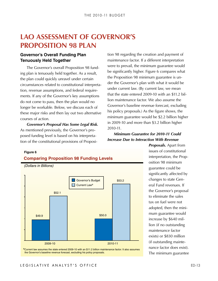## <span id="page-12-0"></span>**LAO Assessment of Governor's Proposition 98 Plan**

### **Governor's Overall Funding Plan Tenuously Held Together**

The Governor's overall Proposition 98 funding plan is tenuously held together. As a result, the plan could quickly unravel under certain circumstances related to constitutional interpreta‑ tion, revenue assumptions, and federal requirements. If any of the Governor's key assumptions do not come to pass, then the plan would no longer be workable. Below, we discuss each of these major risks and then lay out two alternative courses of action.

*Governor's Proposal Has Some Legal Risk.*  As mentioned previously, the Governor's proposed funding level is based on his interpretation of the constitutional provisions of Proposition 98 regarding the creation and payment of maintenance factor. If a different interpretation were to prevail, the minimum guarantee would be significantly higher. Figure 6 compares what the Proposition 98 minimum guarantee is un‑ der the Governor's plan with what it would be under current law. (By current law, we mean that the state entered 2009-10 with an \$11.2 billion maintenance factor. We also assume the Governor's baseline revenue forecast, excluding his policy proposals.) As the figure shows, the minimum guarantee would be \$2.2 billion higher in 2009‑10 and more than \$3.2 billion higher 2010‑11.

*Minimum Guarantee for 2010-11 Could Increase Due to Interaction With Revenue* 

#### **Figure 6**





*Proposals.* Apart from issues of constitutional interpretation, the Proposition 98 minimum guarantee could be significantly affected by changes to state General Fund revenues. If the Governor's proposal to eliminate the sales tax on fuel were not adopted, then the minimum guarantee would increase by \$640 million (if no outstanding maintenance factor exists) or \$830 million (if outstanding mainte‑ nance factor does exist). The minimum guarantee

### LEGISLATIVE ANALYST'S OFFICE THE SERVICE OF THE SERVICE OF THE SERVICE OF THE SERVICE OF THE SERVICE OF THE SE

the Governor's baseline revenue forecast, excluding his policy proposals.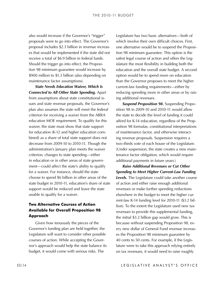proposals were to go into effect. The Governor's proposal includes \$2.3 billion in revenue increases that would be implemented if the state did not receive a total of \$6.9 billion in federal funds. Should the trigger go into effect, the Proposition 98 minimum guarantee would increase by \$900 million to \$1.3 billion (also depending on maintenance factor assumptions).

also would fincrease if the Governor's "ringger" = Legislature has two basis alternatives—between the matter increases of the matter increases of the matter increases of the matter increase of the matter increase is trigg *State Needs Education Waiver, Which Is Connected to All Other State Spending.* Apart from assumptions about state constitutional issues and state revenue proposals, the Governor's plan also assumes the state will meet the federal criterion for receiving a waiver from the ARRA education MOE requirement. To qualify for this waiver, the state must show that state support for education (K-12 and higher education combined) as a share of total state support does not decrease from 2009-10 to 2010-11. Though the administration's January plan meets the waiver criterion, changes to state spending—either in education or in other areas of state government—could affect the state's ability to qualify for a waiver. For instance, should the state choose to spend \$6 billion in other areas of the state budget in 2010-11, education's share of state support would be reduced and leave the state unable to qualify for a waiver.

#### **Two Alternative Courses of Action Available for Overall Proposition 98 Approach**

Given how tenuously the pieces of the Governor's funding plan are held together, the Legislature will want to consider other possible courses of action. While accepting the Governor's approach would help the state balance its budget, it would come with serious risks. The

Legislature has two basic alternatives—both of which involve their own difficult choices. First, one alternative would be to suspend the Proposition 98 minimum guarantee. This option is the safest legal course of action and offers the Legislature the most flexibility in building both the education and the overall state budget. A second option would be to spend more on education than the Governor proposes to meet the higher current-law funding requirements—either by reducing spending more in other areas or by raising additional revenues.

**Suspend Proposition 98.** Suspending Proposition 98 in 2009-10 and 2010-11 would allow the state to decide the level of funding it could afford for K-14 education, regardless of the Proposition 98 formulas, constitutional interpretations of maintenance factor, and otherwise interacting revenue proposals. Suspension requires a two-thirds vote of each house of the Legislature. (Under suspension, the state creates a new maintenance factor obligation, which would require additional payments in future years.)

*Raise Additional Revenues or Cut Other Spending to Meet Higher Current-Law Funding Levels.* The Legislature could take another course of action and either raise enough additional revenues or make further spending reductions elsewhere in the budget to meet the higher current-law K-14 funding level for 2010-11 (\$3.2 billion). To the extent the Legislature used new tax revenues to provide this supplemental funding, the initial \$3.2 billion gap would grow. This is because without suspending Proposition 98, every new dollar of General Fund revenue increases the Proposition 98 minimum guarantee by 40 cents to 50 cents. For example, if the Legislature were to take this approach relying entirely on tax revenues, it would need to raise roughly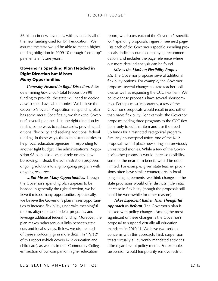\$6 billion in new revenues, with essentially all of the new funding used for K-14 education. (We assume the state would be able to meet a higher funding obligation in 2009-10 through "settle-up" payments in future years.)

#### **Governor's Spending Plan Headed in Right Direction but Misses Many Opportunities**

*Generally Headed in Right Direction.* After determining *how much* total Proposition 98 funding to provide, the state will need to decide *how* to spend available monies. We believe the Governor's overall Proposition 98 spending plan has some merit. Specifically, we think the Governor's overall plan heads in the right direction by finding some ways to reduce costs, providing additional flexibility, and seeking additional federal funding. In these ways, the administration tries to help local education agencies in responding to another tight budget. The administration's Proposition 98 plan also does not rely on any new borrowing. Instead, the administration proposes ongoing solutions to align ongoing program with ongoing resources.

*…But Misses Many Opportunities.* Though the Governor's spending plan appears to be headed in generally the right direction, we believe it misses many opportunities. Specifically, we believe the Governor's plan misses opportunities to increase flexibility, undertake meaningful reform, align state and federal programs, and leverage additional federal funding. Moreover, the plan makes rather tenuous links between state cuts and local savings. Below, we discuss each of these shortcomings in more detail. In "Part 2" of this report (which covers K-12 education and child care), as well as in the "Community Colleges" section of our companion higher education

report, we discuss each of the Governor's specific K-14 spending proposals. Figure 7 (see next page) lists each of the Governor's specific spending proposals, indicates our accompanying recommendation, and includes the page reference where our more detailed analysis can be found.

*Misses the Mark on Flexibility Proposals.* The Governor proposes several additional flexibility options. For example, the Governor proposes several changes to state teacher policies as well as expanding the CCC flex item. We believe these proposals have several shortcomings. Perhaps most importantly, a few of the Governor's proposals would result in *less* rather than *more* flexibility. For example, the Governor proposes adding three programs to the CCC flex item, only to cut that item and use the freedup funds for a restricted categorical program. Similarly counterproductive, one of the K-12 proposals would place new strings on previously unrestricted monies. While a few of the Governor's other proposals would increase flexibility, some of the near-term benefit would be quite limited. For example, given state teacher provisions often have similar counterparts in local bargaining agreements, we think changes in the state provisions would offer districts little initial increase in flexibility (though the proposals still could be worthwhile for other reasons).

*Takes Expedient Rather Than Thoughtful Approach to Reform.* The Governor's plan is packed with policy changes. Among the most significant of these changes is the Governor's proposal to suspend virtually all education mandates in 2010‑11. We have two serious concerns with this approach. First, suspension treats virtually all currently mandated activities alike regardless of policy merits. For example, suspension would temporarily remove restric-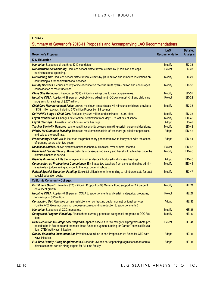### **Summary of Governor's 2010‑11 Proposals and Accompanying LAO Recommendations**

| <b>Figure 7</b><br>Summary of Governor's 2010-11 Proposals and Accompanying LAO Recommendations                                                                                                                                            |                              |                                    |
|--------------------------------------------------------------------------------------------------------------------------------------------------------------------------------------------------------------------------------------------|------------------------------|------------------------------------|
| <b>Governor's Proposal</b>                                                                                                                                                                                                                 | <b>LAO</b><br>Recommendation | <b>Detailed</b><br><b>Analysis</b> |
| <b>K-12 Education</b>                                                                                                                                                                                                                      |                              |                                    |
| <b>Mandates.</b> Suspends all but three K-12 mandates.                                                                                                                                                                                     | <b>Modify</b>                | <b>ED-23</b>                       |
| Noninstructional Spending. Reduces school district revenue limits by \$1.2 billion and caps<br>noninstructional spending.                                                                                                                  | Reject                       | <b>ED-28</b>                       |
| Contracting Out. Reduces school district revenue limits by \$300 million and removes restrictions on<br>contracting out for noninstructional services.                                                                                     | <b>Modify</b>                | <b>ED-29</b>                       |
| County Services. Reduces county office of education revenue limits by \$45 million and encourages<br>consolidation of more functions.                                                                                                      | <b>Modify</b>                | <b>ED-30</b>                       |
| Class Size Reduction. Recognizes \$550 million in savings due to new program rules.                                                                                                                                                        | <b>Modify</b>                | <b>ED-31</b>                       |
| Negative COLA. Applies -0.38 percent cost-of-living adjustment (COLA) to most K-12 and child care<br>programs, for savings of \$207 million.                                                                                               | Reject                       | <b>ED-32</b>                       |
| Child Care Reimbursement Rates. Lowers maximum amount state will reimburse child care providers<br>(\$132 million savings, including \$77 million Proposition 98 savings).                                                                 | <b>Modify</b>                | <b>ED-33</b>                       |
| CalWORKs Stage 3 Child Care. Reduces by \$123 million and eliminates 18,000 slots.                                                                                                                                                         | <b>Modify</b>                | <b>ED-36</b>                       |
| Layoff Notifications. Changes date for final notification from May 15 to last day of school.                                                                                                                                               | <b>Modify</b>                | <b>ED-40</b>                       |
| Layoff Hearings. Eliminates Reduction-in-Force hearings.                                                                                                                                                                                   | Adopt                        | <b>ED-41</b>                       |
| Teacher Seniority. Removes requirement that seniority be used in making certain personnel decisions.                                                                                                                                       | <b>Modify</b>                | <b>ED-42</b>                       |
| Priority for Substitute Teaching. Removes requirement that laid-off teachers get priority for positions<br>and paid at pre-layoff rate.                                                                                                    | Adopt                        | <b>ED-43</b>                       |
| Probationary Period. Would increase the probationary period from two to four years, with the option<br>of granting tenure after two years.                                                                                                 | Adopt                        | <b>ED-44</b>                       |
| <b>Dismissal Notices.</b> Allows district to notice teachers of dismissal over summer months.                                                                                                                                              | Reject                       | ED-46                              |
| Dismissed Teacher Salary. Allows districts to cease paying salary and benefits to a teacher once the<br>dismissal notice is served.                                                                                                        | <b>Modify</b>                | <b>ED-46</b>                       |
| Dismissal Hearings. Lifts the four-year limit on evidence introduced in dismissal hearings.                                                                                                                                                | Adopt                        | ED-46                              |
| Commission on Professional Competence. Eliminates two teachers from panel and makes admin-<br>istrative law judge's ruling advisory to the local governing board.                                                                          | <b>Modify</b>                | <b>ED-46</b>                       |
| Federal Special Education Funding. Seeks \$1 billion in one-time funding to reimburse state for past<br>special education costs.                                                                                                           | <b>Modify</b>                | ED-47                              |
| <b>California Community Colleges</b>                                                                                                                                                                                                       |                              |                                    |
| Enrollment Growth. Provides \$126 million in Proposition 98 General Fund support for 2.2 percent<br>enrollment growth.                                                                                                                     | <b>Modify</b>                | <b>HE-21</b>                       |
| Negative COLA. Applies -0.38 percent COLA to apportionments and certain categorical programs,<br>for savings of \$23 million.                                                                                                              | Reject                       | <b>HE-27</b>                       |
| <b>Contracting Out.</b> Removes certain restrictions on contracting out for noninstructional services.<br>(Unlike K-12, Governor does not propose a corresponding reduction to apportionments.)                                            | Adopt                        | <b>HE-36</b>                       |
| <b>Mandates.</b> Suspends all CCC mandates.                                                                                                                                                                                                | <b>Modify</b>                | <b>HE-36</b>                       |
| Categorical Program Flexibility. Places three currently protected categorical programs in CCC flex<br>item.                                                                                                                                | <b>Modify</b>                | <b>HE-40</b>                       |
| Base Reduction to Categorical Programs. Applies base cut to two categorical programs (both pro-<br>posed to be in flex item) and redirects these funds to augment funding for Career Technical Educa-<br>tion (CTE) "pathways" initiative. | Reject                       | <b>HE-41</b>                       |
| Quality Education Investment Act. Provides \$48 million in non-Proposition 98 funds for CTE path-<br>ways initiative.                                                                                                                      | Adopt                        | <b>HE-41</b>                       |
| Full-Time Faculty Hiring Requirements. Suspends law and corresponding regulations that require<br>districts to meet certain hiring targets for full-time faculty.                                                                          | Adopt                        | <b>HE-41</b>                       |
|                                                                                                                                                                                                                                            |                              |                                    |
| LEGISLATIVE ANALYST'S OFFICE                                                                                                                                                                                                               |                              |                                    |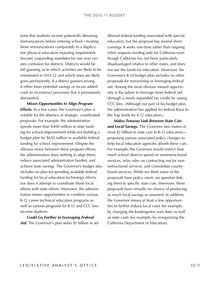tions that students receive potentially lifesaving immunizations before entering school—treating these immunizations comparably to a duplicative physical education reporting requirement. Second, suspending mandates for one year creates confusion for districts. Districts would be left guessing as to which activities are likely to be reinstituted in 2011-12 and which ones are likely gone permanently. If a district guesses wrong, it either loses potential savings or incurs added costs to reconstruct processes that it prematurely dismantled.

*Misses Opportunities to Align Program Efforts.* In a few cases, the Governor's plan is notable for the absence of strategic, coordinated proposals. For example, the administration spends more than \$400 million in state funding for school improvement while not building a budget plan for \$650 million in available federal funding for school improvement. Despite the obvious nexus between these program efforts, the administration does nothing to align them, reduce associated administration burden, and achieve state savings. The Governor's budget also includes no plan for spending available federal funding for local education technology efforts, nor does it attempt to coordinate those local efforts with state efforts. Moreover, the administration misses opportunities to combine various K-12 career technical education programs as well as various programs for K-12 and CCC lowincome students.

*Could Go Further in Leveraging Federal*  Aid. The Governor's plan seeks \$1 billion in additional federal funding associated with special education, but the proposal has several shortcomings. It seeks one-time rather than ongoing relief, requests funding only for California even though California has not been particularly disadvantaged relative to other states, and does not use the funds for education. Moreover, the Governor's K-14 budget plan includes no other proposals for maximizing or leveraging federal aid. Among the most obvious missed opportunity is the failure to leverage more federal aid (through a newly expanded tax credit) by raising CCC fees. (Although not part of his budget plan, the administration has applied for federal Race to the Top funds for K-12 education.)

*Makes Tenuous Link Between State Cuts*  and Local Savings. The Governor also makes almost \$2 billion in state cuts to K-12 education proposing various associated policy changes to help local education agencies absorb these cuts. For example, the Governor would restrict how much school districts spend on noninstructional services, relax rules on contracting out for noninstructional services, and consolidate countybased services. While we think some of the proposals have policy merit, we question linking them to specific state cuts. Moreover, these proposals have virtually no chance of producing as much local savings as assumed. In addition, the Governor misses at least a few opportunities to further reduce local costs (for example, by changing the kindergarten start date) as well as state costs (for example, by reorganizing the California Department of Education).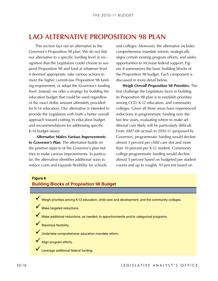<span id="page-17-0"></span>LAO ALTERNATIVE PROPOSITION 98 PLAN<br>
This section by solar an alternative to the control to the and colleges. Moreover, the determinism and<br>
coverage the determinism and a computed by the control of the state<br>
controls to This section lays out an alternative to the Governor's Proposition 98 plan. We do not link our alternative to a specific funding level in recognition that the Legislature could choose to suspend Proposition 98 and fund at whatever level it deemed appropriate, take various actions to meet the higher current-law Proposition 98 funding requirement, or adopt the Governor's funding level. Instead, we offer a strategy for building the education budget that could be used regardless of the exact dollar amount ultimately provided for K-14 education. Our alternative is intended to provide the Legislature with both a better overall approach toward crafting its education budget and recommendations for addressing specific K-14 budget issues.

*Alternative Makes Various Improvements to Governor's Plan.* The alternative builds on the positive aspects of the Governor's plan but tries to make various improvements. In particular, the alternative identifies additional ways to reduce costs and expands flexibility for schools and colleges. Moreover, the alternative includes comprehensive mandate reform, strategically aligns certain existing program efforts, and seeks opportunities to increase federal support. Figure 8 summarizes the basic building blocks of the Proposition 98 budget. Each component is discussed in more detail below.

*Weigh Overall Proposition 98 Priorities.* The first challenge the Legislature faces in building its Proposition 98 plan is to establish priorities among CCD, K-12 education, and community colleges. Given all three areas have experienced reductions in programmatic funding over the last few years, evaluating where to make additional cuts likely will be particularly difficult. From 2007-08 (actual) to 2010-11 (proposed by Governor), programmatic funding would decline almost 3 percent per child care slot and more than 10 percent per K-12 student. Community college programmatic funding would decline almost 5 percent based on budgeted per student counts and up to roughly 10 percent based on

#### **Figure 8**

#### **Building Blocks of Proposition 98 Budget**

V Weigh priorities among K-12 education, child care and development, and the community colleges.

 $\checkmark$  Make targeted reductions.

9 Make additional reductions, as needed, to apportionments and/or categorical programs.

 $\checkmark$  Maximize flexibility.

V Undertake comprehensive education mandate reform.

Align program efforts.

Leverage additional federal funding.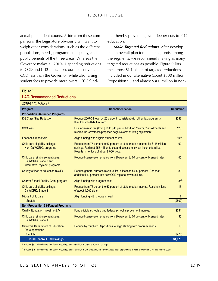actual per student counts. Aside from these comparisons, the Legislature obviously will want to weigh other considerations, such as the different populations, needs, programmatic quality, and public benefits of the three areas. Whereas the Governor makes all 2010‑11 spending reductions to CCD and K-12 education, our alternative cuts CCD less than the Governor, while also raising student fees to provide more overall CCC funding, thereby preventing even deeper cuts to K-12 education.

**Make Targeted Reductions.** After developing an overall plan for allocating funds among the segments, we recommend making as many targeted reductions as possible. Figure 9 lists the almost \$1.1 billion of targeted reductions included in our alternative (about \$800 million in Proposition 98 and almost \$300 million in non-

| 2010-11 (In Millions)                                                                             |                                                                                                                                                                                                          |                  |
|---------------------------------------------------------------------------------------------------|----------------------------------------------------------------------------------------------------------------------------------------------------------------------------------------------------------|------------------|
| Program                                                                                           | Recommendation                                                                                                                                                                                           | <b>Reduction</b> |
| <b>Proposition 98-Funded Programs</b>                                                             |                                                                                                                                                                                                          |                  |
| K-3 Class Size Reduction                                                                          | Reduce 2007-08 level by 20 percent (consistent with other flex programs),<br>then fold into K-12 flex item.                                                                                              | \$382            |
| <b>CCC</b> fees                                                                                   | Use increase in fee (from \$26 to \$40 per unit) to fund "overcap" enrollments and<br>reverse the Governor's proposed negative cost-of-living adjustment.                                                | 125              |
| <b>Economic Impact Aid</b>                                                                        | Align funding with eligible student counts.                                                                                                                                                              | 101 <sup>a</sup> |
| Child care eligibility ceilings:<br>Non-CalWORKs programs                                         | Reduce from 75 percent to 60 percent of state median income for \$115 million<br>savings. Redirect \$55 million to expand access to lowest-income families.<br>Results in net loss of about 8,000 slots. | 60               |
| Child care reimbursement rates:<br>CalWORKs Stage 2 and 3,<br><b>Alternative Payment programs</b> | Reduce license-exempt rates from 90 percent to 70 percent of licensed rates.                                                                                                                             | 45               |
| County offices of education (COE)                                                                 | Reduce general purpose revenue limit allocation by 10 percent. Redirect<br>additional 10 percent into new COE regional revenue limit.                                                                    | 33               |
| <b>Charter School Facility Grant program</b>                                                      | Align funding with program cost.                                                                                                                                                                         | 34 <sup>b</sup>  |
| Child care eligibility ceilings:<br><b>CalWORKs Stage 3</b>                                       | Reduce from 75 percent to 60 percent of state median income. Results in loss<br>of about 4,000 slots.                                                                                                    | 15               |
| Migrant child care                                                                                | Align funding with program need.                                                                                                                                                                         | $\overline{7}$   |
| Subtotal                                                                                          |                                                                                                                                                                                                          | (\$802)          |
| <b>Non-Proposition 98-Funded Programs</b>                                                         |                                                                                                                                                                                                          |                  |
| <b>Quality Education Investment Act</b>                                                           | Fund eligible schools using federal school improvement monies.                                                                                                                                           | \$231            |
| Child care reimbursement rates:<br><b>CalWORKs Stage 1</b>                                        | Reduce license-exempt rates from 90 percent to 70 percent of licensed rates.                                                                                                                             | 35               |
| <b>California Department of Education:</b><br><b>State operations</b>                             | Reduce by roughly 150 positions to align staffing with program needs.                                                                                                                                    | 10               |
| Subtotal                                                                                          |                                                                                                                                                                                                          | (\$276)          |
| <b>Total General Fund Savings</b>                                                                 |                                                                                                                                                                                                          | \$1,078          |
| a Includes \$63 million in one-time 2009-10 savings and \$38 million in ongoing 2010-11 savings   |                                                                                                                                                                                                          |                  |

#### **Figure 9 LAO-Recommended Reductions**

a Includes \$63 million in one-time 2009-10 savings and \$38 million in ongoing 2010-11 savings.

b Includes \$15 million in one-time 2009-10 savings and \$19 million in one-time 2010-11 savings. Assumes that payments are still provided on a reimbursement basis.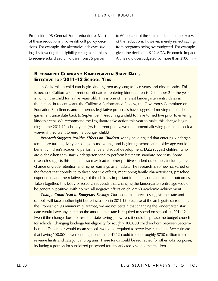<span id="page-19-0"></span>of these reductions involve difficult policy decisions. For example, the alternative achieves savings by lowering the eligibility ceiling for families to receive subsidized child care from 75 percent

to 60 percent of the state median income. A few of the reductions, however, merely reflect savings from programs being overbudgeted. For example, given the decline in K-12 ADA, Economic Impact Aid is now overbudgeted by more than \$100 mil-

### **Recommend Changing Kindergarten Start Date, Effective for 2011‑12 School Year**

In California, a child can begin kindergarten as young as four years and nine months. This is because California's current cut-off date for entering kindergarten is December 2 of the year in which the child turns five years old. This is one of the latest kindergarten entry dates in the nation. In recent years, the California Performance Review, the Governor's Committee on Education Excellence, and numerous legislative proposals have suggested moving the kindergarten entrance date back to September 1 (requiring a child to have turned five prior to entering kindergarten). We recommend the Legislature take action this year to make this change beginning in the 2011-12 school year. (As is current policy, we recommend allowing parents to seek a waiver if they want to enroll a younger child.)

**Research Suggests Positive Effects on Children.** Many have argued that entering kindergarten before turning five years of age is too young, and beginning school at an older age would benefit children's academic performance and social development. Data suggest children who are older when they start kindergarten tend to perform better on standardized tests. Some research suggests this change also may lead to other positive student outcomes, including less chance of grade retention and higher earnings as an adult. The research is somewhat varied on the factors that contribute to these positive effects, mentioning family characteristics, preschool experience, and the relative age of the child as important influences on later student outcomes. Taken together, this body of research suggests that changing the kindergarten entry age would be generally positive, with no overall negative effect on children's academic achievement.

Proposition 98 General Fund velacitons). Most  $\sim 160$  process of the state median reconous involvements in the celusion of the state median functions). However, merely relieficing to proposition in the celusion involveme *Change Could Lead to Budgetary Savings.* Our economic forecast suggests the state and schools will face another tight budget situation in 2011-12. Because of the ambiguity surrounding the Proposition 98 minimum guarantee, we are not certain that changing the kindergarten start date would have any effect on the amount the state is required to spend on schools in 2011-12. Even if the change does not result in state savings, however, it could help ease the budget crunch for schools. Changing kindergarten eligibility for roughly 100,000 children born between September and December would mean schools would be required to serve fewer students. We estimate that having 100,000 fewer kindergarteners in 2011‑12 could free up roughly \$700 million from revenue limits and categorical programs. These funds could be redirected for other K-12 purposes, including a portion for subsidized preschool for any affected low-income children.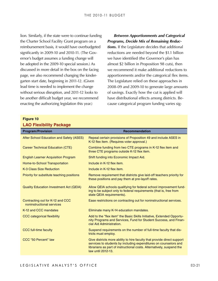lion. Similarly, if the state were to continue funding the Charter School Facility Grant program on a reimbursement basis, it would have overbudgeted significantly in 2009-10 and 2010-11. (The Governor's budget assumes a funding change will be adopted in the 2009-10 special session.) As discussed in more detail in the box on the facing page, we also recommend changing the kindergarten start date, beginning in 2011‑12. (Given lead time is needed to implement the change without serious disruption, and 2011-12 looks to be another difficult budget year, we recommend enacting the authorizing legislation this year.)

#### *Between Apportionments and Categorical Programs, Decide Mix of Remaining Reduc-*

*tions.* If the Legislature decides that additional reductions are needed beyond the \$1.1 billion we have identified (the Governor's plan has almost \$2 billion in Proposition 98 cuts), then we recommend it make additional reductions to apportionments and/or the categorical flex items. The Legislature relied on these approaches in 2008‑09 and 2009‑10 to generate large amounts of savings. Exactly how the cut is applied will have distributional effects among districts. Because categorical program funding varies sig-

#### **Figure 10 LAO Flexibility Package**

| LAU FIEXIDIIIIV PACKAGE                                       |                                                                                                                                                                                                                                            |
|---------------------------------------------------------------|--------------------------------------------------------------------------------------------------------------------------------------------------------------------------------------------------------------------------------------------|
| <b>Program/Provision</b>                                      | <b>Recommendation</b>                                                                                                                                                                                                                      |
| After School Education and Safety (ASES)                      | Repeal certain provisions of Proposition 49 and include ASES in<br>K-12 flex item. (Requires voter approval.)                                                                                                                              |
| Career Technical Education (CTE)                              | Combine funding from two CTE programs in K-12 flex item and<br>three CTE programs outside K-12 flex item.                                                                                                                                  |
| <b>English Learner Acquisition Program</b>                    | Shift funding into Economic Impact Aid.                                                                                                                                                                                                    |
| Home-to-School Transportation                                 | Include in K-12 flex item.                                                                                                                                                                                                                 |
| K-3 Class Size Reduction                                      | Include in K-12 flex item.                                                                                                                                                                                                                 |
| Priority for substitute teaching positions                    | Remove requirement that districts give laid-off teachers priority for<br>these positions and pay them at pre-layoff rates.                                                                                                                 |
| <b>Quality Education Investment Act (QEIA)</b>                | Allow QEIA schools qualifying for federal school improvement fund-<br>ing to be subject only to federal requirements (that is, free from<br>state QEIA requirements).                                                                      |
| Contracting out for K-12 and CCC<br>noninstructional services | Ease restrictions on contracting out for noninstructional services.                                                                                                                                                                        |
| K-12 and CCC mandates                                         | Eliminate many K-14 education mandates.                                                                                                                                                                                                    |
| <b>CCC</b> categorical flexibility                            | Add to the "flex item" the Basic Skills Initiative, Extended Opportu-<br>nity Programs and Services, Fund for Student Success, and Finan-<br>cial Aid Administration.                                                                      |
| <b>CCC full-time faculty</b>                                  | Suspend requirements on the number of full-time faculty that dis-<br>tricts must employ.                                                                                                                                                   |
| <b>CCC "50 Percent" law</b>                                   | Give districts more ability to hire faculty that provide direct support<br>services to students by including expenditures on counselors and<br>librarians as part of instructional costs. Alternatively, suspend the<br>law until 2012-13. |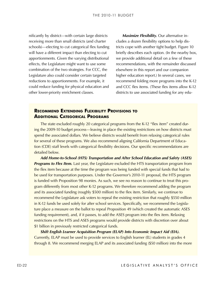<span id="page-21-0"></span>receiving more than small districts (and charter schools)—electing to cut categorical flex funding will have a different impact than electing to cut apportionments. Given the varying distributional effects, the Legislature might want to use some combination of the two strategies. For CCC, the Legislature also could consider certain targeted reductions to apportionments. For example, it could reduce funding for physical education and other lower-priority enrichment classes.

*Maximize Flexibility.* Our alternative includes a dozen flexibility options to help dis‑ tricts cope with another tight budget. Figure 10 briefly describes each option. (In the nearby box, we provide additional detail on a few of these recommendations, with the remainder discussed elsewhere in this report and our companion higher education report.) In several cases, we recommend folding more programs into the K-12 and CCC flex items. (These flex items allow K-12 districts to use associated funding for any edu-

#### **Recommend Extending Flexibility Provisions to Additional Categorical Programs**

The state excluded roughly 20 categorical programs from the K-12 "flex item" created during the 2009-10 budget process—leaving in place the existing restrictions on how districts must spend the associated dollars. We believe districts would benefit from relaxing categorical rules for several of these programs. We also recommend aligning California Department of Education (CDE) staff levels with categorical flexibility decisions. Our specific recommendations are detailed below.

If the district—with certain large districts. **Attaining** the mediating by districted by districtions once the product of the state of the state of the state of the state of the state of the state of the state of the stat *Add Home-to-School (HTS) Transportation and After School Education and Safety (ASES)*  **Programs to Flex Item.** Last year, the Legislature excluded the HTS transportation program from the flex item because at the time the program was being funded with special funds that had to be used for transportation purposes. Under the Governor's 2010-11 proposal, the HTS program is funded with Proposition 98 monies. As such, we see no reason to continue to treat this program differently from most other K-12 programs. We therefore recommend adding the program and its associated funding (roughly \$500 million) to the flex item. Similarly, we continue to recommend the Legislature ask voters to repeal the existing restriction that roughly \$550 million in K-12 funds be used solely for after school services. Specifically, we recommend the Legislature place a measure on the ballot to repeal Proposition 49 (which created the automatic ASES funding requirement), and, if it passes, to add the ASES program into the flex item. Relaxing restrictions on the HTS and ASES programs would provide districts with discretion over about \$1 billion in previously restricted categorical funds.

*Shift English Learner Acquisition Program (ELAP) Into Economic Impact Aid (EIA).* Currently, ELAP must be used to provide services to English learner (EL) students in grades 4 through 8. We recommend merging ELAP and its associated funding (\$50 million) into the more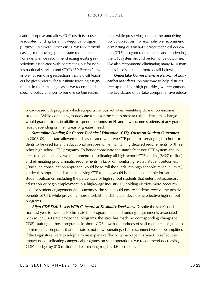cation purpose and allow CCC districts to use associated funding for any categorical program purpose.) In several other cases, we recommend easing or removing specific state requirements. For example, we recommend easing existing restrictions associated with contracting out for noninstructional services and CCC's "50 Percent" law, as well as removing restrictions that laid-off teachers be given priority for substitute teaching assignments. In the remaining cases, we recommend specific policy changes to remove certain restrictions while preserving some of the underlying policy objectives. For example, we recommend eliminating certain K-12 career technical education (CTE) program requirements and reorienting the CTE system around performance outcomes. We also recommend eliminating many K-14 mandates (as discussed in more detail below).

*Undertake Comprehensive Reform of Education Mandates.* As one way to help districts free up funds for high priorities, we recommend the Legislature undertake comprehensive educa-

broad-based EIA program, which supports various activities benefiting EL and low-income students. While continuing to dedicate funds for the state's most at-risk students, this change would grant districts flexibility to spend the funds on EL and low-income students of any grade level, depending on their areas of greatest need.

*Streamline Funding for Career Technical Education (CTE), Focus on Student Outcomes.* In 2008-09, the state allowed funds associated with two CTE programs serving high school students to be used for any educational purpose while maintaining detailed requirements for three other high school CTE programs. To better coordinate the state's fractured CTE system and increase local flexibility, we recommend consolidating all high school CTE funding (\$427 million) and eliminating programmatic requirements in favor of monitoring related student outcomes. (One such consolidation approach would be to roll the funds into high schools' revenue limits.) Under this approach, districts receiving CTE funding would be held accountable for various student outcomes, including the percentage of high school students that enter postsecondary education or begin employment in a high-wage industry. By holding districts more accountable for student engagement and outcomes, the state could ensure students receive the positive benefits of CTE while providing more flexibility to districts in developing effective high school programs.

*Align CDE Staff Levels With Categorical Flexibility Decisions.* Despite the state's deci‑ sion last year to essentially eliminate the programmatic and funding requirements associated with roughly 40 state categorical programs, the state has made no corresponding changes to CDE's staffing of those programs. In short, CDE now has hundreds of staff members assigned to administering programs that the state is not now operating. (This disconnect would be amplified if the Legislature were to adopt a more expansive flexibility package this year.) To reflect the impact of consolidating categorical programs on state operations, we recommend decreasing CDE's budget by \$10 million and eliminating roughly 150 positions.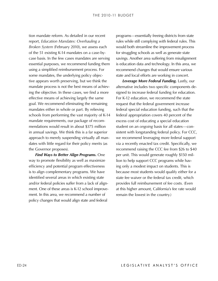If the three deals (eight) is the state of the correct of the propagation of the correct of the state in our recent<br>the correct of the ST esting R4 and the correct of the ST esting R4 and the ST esting R4 and the ST esting report, *Education Mandates: Overhauling a Broken System* (February 2010), we assess each of the 51 existing K-14 mandates on a case-bycase basis. In the few cases mandates are serving essential purposes, we recommend funding them using a simplified reimbursement process. For some mandates, the underlying policy objective appears worth preserving, but we think the mandate process is not the best means of achieving the objective. In these cases, we find a more effective means of achieving largely the same goal. We recommend eliminating the remaining mandates either in whole or part. By relieving schools from performing the vast majority of K-14 mandate requirements, our package of recommendations would result in about \$375 million in annual savings. We think this is a far superior approach to merely suspending virtually all mandates with little regard for their policy merits (as the Governor proposes).

*Find Ways to Better Align Programs.* One way to promote flexibility as well as maximize efficiency and potential program effectiveness is to align complementary programs. We have identified several areas in which existing state and/or federal policies suffer from a lack of alignment. One of these areas is K-12 school improvement. In this area, we recommend a number of policy changes that would align state and federal

programs—essentially freeing districts from state rules while still complying with federal rules. This would both streamline the improvement process for struggling schools as well as generate state savings. Another area suffering from misalignment is education data and technology. In this area, we recommend changes that would ensure various state and local efforts are working in concert.

*Leverage More Federal Funding.* Lastly, our alternative includes two specific components de‑ signed to increase federal funding for education. For K-12 education, we recommend the state request that the federal government increase federal special education funding, such that the federal appropriation covers 40 percent of the excess cost of educating a special education student on an *ongoing* basis for all states—consistent with longstanding federal policy. For CCC, we recommend leveraging more federal support via a recently enacted tax credit. Specifically, we recommend raising the CCC fee from \$26 to \$40 per unit. This would generate roughly \$150 million to help support CCC programs while having only a modest impact on students. This is because most students would qualify either for a state fee waiver or the federal tax credit, which provides full reimbursement of fee costs. (Even at this higher amount, California's fee rate would remain the lowest in the country.)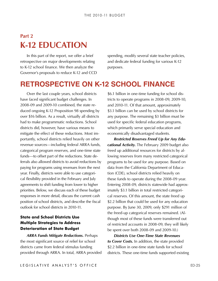## <span id="page-24-0"></span>**Part 2 K-12 EDUCATION**

In this part of the report, we offer a brief retrospective on major developments relating to K-12 school finance. We then analyze the Governor's proposals to reduce K-12 and CCD spending, modify several state teacher policies, and dedicate federal funding for various K-12 purposes.

### **Retrospective on K-12 School Finance**

Over the last couple years, school districts have faced significant budget challenges. In 2008‑09 and 2009‑10 combined, the state re‑ duced ongoing K-12 Proposition 98 spending by over \$16 billion. As a result, virtually all districts had to make programmatic reductions. School districts did, however, have various means to mitigate the effect of these reductions. Most importantly, school districts relied heavily on other revenue sources—including federal ARRA funds, categorical program reserves, and one-time state funds—to offset part of the reductions. State deferrals also allowed districts to avoid reductions by paying for programs using revenues from the next year. Finally, districts were able to use categorical flexibility provided in the February and July agreements to shift funding from lower to higher priorities. Below, we discuss each of these budget responses in more detail, discuss the current cash position of school districts, and describe the fiscal outlook for school districts in 2010‑11.

### **State and School Districts Use Multiple Strategies to Address Deterioration of State Budget**

*ARRA Funds Mitigate Reductions.* Perhaps the most significant source of relief for school districts came from federal stimulus funding provided through ARRA. In total, ARRA provided \$6.1 billion in one-time funding for school districts to operate programs in 2008‑09, 2009‑10, and 2010-11. Of that amount, approximately \$3.1 billion can be used by school districts for any purpose. The remaining \$3 billion must be used for specific federal education programs, which primarily serve special education and economically disadvantaged students.

*Restricted Reserves Freed Up for Any Educational Activity.* The February 2009 budget also freed up additional resources for districts by al‑ lowing reserves from many restricted categorical programs to be used for any purpose. Based on data from the California Department of Education (CDE), school districts relied heavily on these funds to operate during the 2008‑09 year. Entering 2008-09, districts statewide had approximately \$3.1 billion in total restricted categorical reserves. Of this amount, the state freed up \$2.2 billion that could be used for any education purpose. By June 30, 2009, only \$291 million of the freed-up categorical reserves remained. (Although most of these funds were transferred out of restricted accounts in 2008-09, they will likely be spent over both 2008-09 and 2009-10.)

*Districts Use One-Time State Revenues to Cover Costs.* In addition, the state provided \$2.2 billion in one-time state funds for school districts. These one-time funds supported existing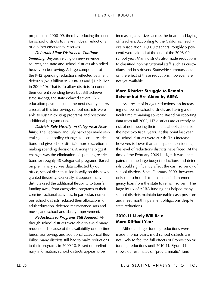for school districts to make midyear reductions or dip into emergency reserves.

*Deferrals Allow Districts to Continue*  **Spending.** Beyond relying on new revenue sources, the state and school districts also relied heavily on borrowing. A large component of the K-12 spending reductions reflected payment deferrals (\$2.9 billion in 2008‑09 and \$1.7 billion in 2009‑10). That is, to allow districts to continue their current spending levels but still achieve state savings, the state delayed several K-12 education payments until the next fiscal year. As a result of this borrowing, school districts were able to sustain existing programs and postpone additional program cuts.

*Districts Rely Heavily on Categorical Flexi***bility.** The February and July packages made several significant policy changes to loosen restrictions and give school districts more discretion in making spending decisions. Among the biggest changes was the elimination of spending restrictions for roughly 40 categorical programs. Based on preliminary survey data collected by our office, school districts relied heavily on this newly granted flexibility. Generally, it appears many districts used the additional flexibility to transfer funding away from categorical programs to their core instructional activities. In particular, numerous school districts reduced their allocations for adult education, deferred maintenance, arts and music, and school and library improvement.

*Reductions to Programs Still Needed.* Al‑ though school districts were able to avoid many reductions because of the availability of one-time funds, borrowing, and additional categorical flexibility, many districts still had to make reductions to their programs in 2009-10. Based on preliminary information, school districts appear to be

increasing class sizes across the board and laying off teachers. According to the California Teacher's Association, 17,000 teachers (roughly 5 percent) were laid off at the end of the 2008‑09 school year. Many districts also made reductions to classified noninstructional staff, such as custodians and bus drivers. Statewide summary data on the effect of these reductions, however, are not yet available.

#### **More Districts Struggle to Remain Solvent but Are Aided by ARRA**

programs in 2008 of Murely reducing the need increasing class sizes across the board and there energy rearry and the need in the need in the need in the need in the need in the system of the system in 2000 taxtimating the As a result of budget reductions, an increasing number of school districts are having a difficult time remaining solvent. Based on reporting data from fall 2009, 117 districts are currently at risk of not meeting their financial obligations for the next two fiscal years. At this point last year, 90 school districts were at risk. This increase, however, is lower than anticipated considering the level of reductions districts have faced. At the time of the February 2009 budget, it was anticipated that the large budget reductions and deferrals could significantly affect the cash solvency of school districts. Since February 2009, however, only one school district has needed an emergency loan from the state to remain solvent. The large influx of ARRA funding has helped many school districts maintain favorable cash positions and meet monthly payment obligations despite state reductions.

#### **2010‑11 Likely Will Be a More Difficult Year**

Although larger funding reductions were made in prior years, most school districts are not likely to feel the full effects of Proposition 98 funding reductions until 2010-11. Figure 11 shows our estimates of "programmatic" fund-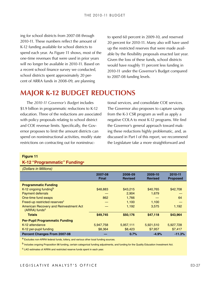<span id="page-26-0"></span>ing for school districts from 2007‑08 through 2010-11. These numbers reflect the amount of K-12 funding available for school districts to spend each year. As Figure 11 shows, most of the one-time revenues that were used in prior years will no longer be available in 2010-11. Based on a recent school finance survey we conducted, school districts spent approximately 20 percent of ARRA funds in 2008‑09, are planning

to spend 60 percent in 2009‑10, and reserved 20 percent for 2010‑11. Many also will have used up the restricted reserves that were made avail‑ able by the flexibility proposals enacted last year. Given the loss of these funds, school districts would have roughly 11 percent less funding in 2010-11 under the Governor's Budget compared to 2007‑08 funding levels.

## **Major K-12 Budget Reductions**

The *2010‑11 Governor's Budget* includes \$1.9 billion in programmatic reductions to K-12 education. Three of the reductions are associated with policy proposals relating to school district and COE revenue limits. Specifically, the Governor proposes to limit the amount districts can spend on noninstructional activities, modify state restrictions on contracting out for noninstructional services, and consolidate COE services. The Governor also proposes to capture savings from the K-3 CSR program as well as apply a negative COLA to most K-12 programs. We find the Governor's general approach toward mak‑ ing these reductions highly problematic, and, as discussed in Part I of this report, we recommend the Legislature take a more straightforward and

#### **Figure 11**

#### **K-12 "Programmatic" Fundinga**

| (Dollars in Millions)                                                      |                         |                           |                           |                            |
|----------------------------------------------------------------------------|-------------------------|---------------------------|---------------------------|----------------------------|
|                                                                            | 2007-08<br><b>Final</b> | 2008-09<br><b>Revised</b> | 2009-10<br><b>Revised</b> | 2010-11<br><b>Proposed</b> |
| <b>Programmatic Funding</b>                                                |                         |                           |                           |                            |
| K-12 ongoing funding <sup>b</sup>                                          | \$48,883                | \$43,215                  | \$40,765                  | \$42,708                   |
| <b>Payment deferrals</b>                                                   |                         | 2,904                     | 1,679                     |                            |
| One-time fund swaps                                                        | 862                     | 1,766                     |                           | 64                         |
| Freed-up restricted reserves <sup>c</sup>                                  |                         | 1,100                     | 1,100                     |                            |
| <b>American Recovery and Reinvestment Act</b><br>(ARRA) funds <sup>c</sup> |                         | 1,192                     | 3,575                     | 1,192                      |
| <b>Totals</b>                                                              | \$49,745                | \$50,176                  | \$47,118                  | \$43,964                   |
| <b>Per-Pupil Programmatic Funding</b>                                      |                         |                           |                           |                            |
| K-12 attendance                                                            | 5,947,758               | 5,957,111                 | 5,921,510                 | 5,927,728                  |
| K-12 per-pupil funding                                                     | \$8,364                 | \$8,423                   | \$7,957                   | \$7,417                    |
| <b>Percent Changes From 2007-08</b>                                        |                         | 0.7%                      | $-4.9%$                   | $-11.3%$                   |

a Excludes non-ARRA federal funds, lottery, and various other local funding sources.

b Includes ongoing Proposition 98 funding, certain categorical funding adjustments, and funding for the Quality Education Investment Act.

c LAO estimates of ARRA and restricted reserve funds spent in each year.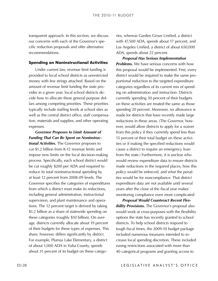our concerns with each of the Governor's specific reduction proposals and offer alternative recommendations.

#### **Spending on Noninstructional Activities**

Under current law, revenue limit funding is provided to local school districts as unrestricted money with few strings attached. Based on the amount of revenue limit funding the state provides in a given year, local school districts de‑ cide how to allocate these general purpose dollars among competing priorities. These priorities typically include staffing levels at school sites as well as the central district office, staff compensation, materials and supplies, and other operating expenses.

Longwell and provides are recogness to the interesting and the method and Convertise and the section of the section of the section of the section of the section of the section of the section of the section of the section *Governor Proposes to Limit Amount of Funding That Can Be Spent on Noninstructional Activities.* The Governor proposes to cut \$1.2 billion from K-12 revenue limits and impose new limits on the local decision-making process. Specifically, each school district would be cut roughly \$200 per ADA and required to reduce its total noninstructional spending by at least 12 percent from 2008‑09 levels. The Governor specifies the categories of expenditures from which a district must make its reductions, including general administration, instructional supervision, and plant maintenance and operations. The 12 percent target is derived by taking \$1.2 billion as a share of statewide spending on these categories (roughly \$10 billion). On aver‑ age, districts currently allocate about 19 percent of their budgets for these types of expenses. This share, however, differs significantly by district. For example, Plumas Lake Elementary, a district of about 1,000 ADA in Yuba County, spends about 31 percent of its budget on these catego-

ries, whereas Garden Grove Unified, a district with 47,500 ADA, spends about 17 percent, and Los Angeles Unified, a district of about 650,000 ADA, spends about 22 percent.

*Proposal Has Serious Implementation Problems.* We have serious concerns with how this proposal would be implemented. First, every district would be required to make the same proportional reduction to the targeted expenditure categories regardless of its current mix of spending on administration and instruction. Districts currently spending 30 percent of their budgets on these activities are treated the same as those spending 20 percent. Moreover, no allowance is made for districts that have recently made large reductions in these areas. (The Governor, however, would allow districts to apply for a waiver from this policy if they currently spend less than 15 percent of their total budget on these activities or if making the specified reductions would cause a district to require an emergency loan from the state.) Furthermore, it is unclear who would review expenditure data to ensure districts made reductions in the required places, how this policy would be enforced, and what the penalties would be for noncompliance. That district expenditure data are not available until several years after the close of the fiscal year makes monitoring compliance even more complicated.

*Proposal Would Counteract Recent Flexibility Provisions.* The Governor's proposal also would work at cross-purposes with the flexibility options the state has recently granted to school districts. To help school districts respond to tough fiscal times, the 2009‑10 budget package included numerous measures intended to increase local spending discretion. These included easing restrictions associated with more than 40 categorical programs and granting access to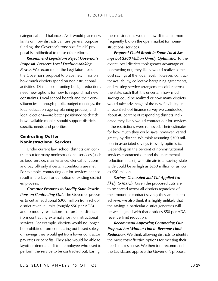categorical fund balances. As it would place new limits on how districts can use general purpose funding, the Governor's "one size fits all" proposal is antithetical to these other efforts.

*Recommend Legislature Reject Governor's Proposal, Preserve Local Decision-Making*  **Power.** We recommend the Legislature reject the Governor's proposal to place new limits on how much districts spend on noninstructional activities. Districts confronting budget reductions need new options for how to respond, not new constraints. Local school boards and their constituencies—through public budget meetings, the local education agency planning process, and local elections—are better positioned to decide how available monies should support districts' specific needs and priorities.

#### **Contracting Out for Noninstructional Services**

Under current law, school districts can contract out for many noninstructional services (such as food service, maintenance, clerical functions, and payroll) only if certain conditions are met. For example, contracting out for services cannot result in the layoff or demotion of existing district employees.

*Governor Proposes to Modify State Restrictions on Contracting Out.* The Governor propos‑ es to cut an additional \$300 million from school district revenue limits (roughly \$50 per ADA) and to modify restrictions that prohibit districts from contracting externally for noninstructional services. For example, districts would no longer be prohibited from contracting out based solely on savings they would get from lower contractor pay rates or benefits. They also would be able to layoff or demote a district employee who used to perform the service to be contracted out. Easing

these restrictions would allow districts to more frequently bid on the open market for noninstructional services.

*Proposal Could Result in Some Local Savings but \$300 Million Overly Optimistic.* To the extent local districts took greater advantage of contracting out, they likely would realize some cost savings at the local level. However, contractor availability, collective bargaining agreements, and existing service arrangements differ across the state, such that it is uncertain how much savings could be realized or how many districts would take advantage of the new flexibility. In a recent school finance survey we conducted, about 40 percent of responding districts indicated they likely would contract out for services if the restrictions were removed. Their estimates for how much they could save, however, varied greatly by district. We think assuming \$300 mil‑ lion in associated savings is overly optimistic. Depending on the percent of noninstructional services contracted out and the incremental reduction in cost, we estimate total savings statewide could be as high as \$250 million or as low as \$50 million.

*Savings Generated and Cut Applied Unlikely to Match.* Given the proposed cuts are to be spread across all districts regardless of the amount of contract savings they are able to achieve, we also think it is highly unlikely that the savings a particular district generates will be well aligned with that district's \$50 per ADA revenue limit reduction.

*Recommend Approving Contracting Out Proposal but Without Link to Revenue Limit Reduction.* We think allowing districts to identify the most cost-effective options for meeting their needs makes sense. We therefore recommend the Legislature approve the Governor's proposal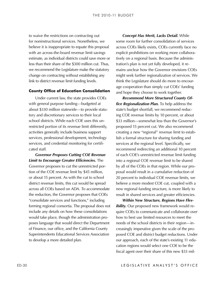for noninstructional services. Nonetheless, we believe it is inappropriate to equate this proposal with an across-the-board revenue limit savings estimate, as individual districts could save more or less than their share of the \$300 million cut. Thus, we recommend the Legislature make the statutory change on contracting without establishing any link to district revenue limit funding levels.

#### **County Office of Education Consolidation**

Under current law, the state provides COEs with general purpose funding—budgeted at about \$330 million statewide—to provide statutory and discretionary services to their local school districts. While each COE uses this unrestricted portion of its revenue limit differently, activities generally include business support services, professional development, technology services, and credential monitoring for certificated staff.

Lo varies the restrictions on contracting out controls and with the Meric Lands Delhi With the line properties to equal the restrictions of the restrictions of the restrictions of the restrictions of the restrictions of t *Governor Proposes Cutting COE Revenue Limit to Encourage Greater Efficiencies.* The Governor proposes to cut the unrestricted portion of the COE revenue limit by \$45 million, or about 15 percent. As with the cut to school district revenue limits, this cut would be spread across all COEs based on ADA. To accommodate the reduction, the Governor proposes that COEs "consolidate services and functions," including forming regional consortia. The proposal does not include any details on how these consolidations would take place, though the administration proposes language that would direct the Department of Finance, our office, and the California County Superintendents Educational Services Association to develop a more detailed plan.

*Concept Has Merit, Lacks Detail.* While some room for further consolidation of services across COEs likely exists, COEs currently face no explicit prohibitions on working more collaboratively on a regional basis. Because the administration's plan is not yet fully developed, it re‑ mains unclear how the Governor envisions COEs might seek further regionalization of services. We think the Legislature should do more to encour‑ age cooperation than simply cut COEs' funding and hope they choose to work together.

*Recommend More Structured County Office Regionalization Plan.* To help address the state's budget shortfall, we recommend reducing COE revenue limits by 10 percent, or about \$33 million—somewhat less than the Governor's proposed 15 percent cut. We also recommend creating a new "regional" revenue limit to establish a formal structure for sharing funding and services at the regional level. Specifically, we recommend redirecting an additional 10 percent of each COE's unrestricted revenue limit funding into a regional COE revenue limit to be shared by all of the COEs in that region. While our proposal would result in a cumulative reduction of 20 percent to individual COE revenue limits, we believe a more modest COE cut, coupled with a new regional funding structure, is more likely to result in shared services and greater efficiencies.

*Within New Structure, Regions Have Flexibility*. Our proposed new framework would require COEs to communicate and collaborate over how to best use limited resources to meet the needs of the school districts in their region—increasingly imperative given the scale of the proposed COE and district budget reductions. Under our approach, each of the state's existing 11 education regions would select one COE to be the fiscal agent over their share of this new \$33 mil-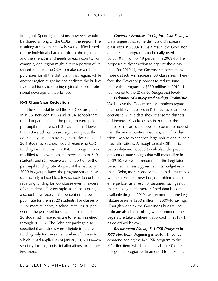lion grant. Spending decisions, however, would be shared among all the COEs in the region. The resulting arrangements likely would differ based on the individual characteristics of the regions and the strengths and needs of each county. For example, one region might direct a portion of its shared funds to one COE to make certain bulk purchases for all the districts in that region, while another region might instead dedicate the bulk of its shared funds to offering regional-based professional development workshops.

#### **K-3 Class Size Reduction**

The state established the K-3 CSR program in 1996. Between 1996 and 2004, schools that opted to participate in the program were paid a per pupil rate for each K-3 class that had fewer than 20.4 students (on average throughout the course of year). If an average class size exceeded 20.4 students, a school would receive no CSR funding for that class. In 2004, the program was modified to allow a class to increase up to 21.9 students and still receive a small portion of the per pupil funding rate. As part of the February 2009 budget package, the program structure was significantly relaxed to allow schools to continue receiving funding for K-3 classes even in excess of 25 students. (For example, for classes of 23, a school now receives 80 percent of the per pupil rate for the first 20 students. For classes of 25 or more students, a school receives 70 per‑ cent of the per pupil funding rate for the first 20 students.) These rules are to remain in effect through 2011‑12. The February package also specified that districts were eligible to receive funding only for the same number of classes for which it had applied as of January 31, 2009—essentially locking in district allocations for the next few years.

*Governor Proposes to Capture CSR Savings.* Data suggest that some districts did increase class sizes in 2009‑10. As a result, the Governor assumes the program is technically overbudgeted by \$340 million (or 19 percent) in 2009‑10. He proposes midyear action to capture these savings. For 2010-11, the Governor expects many more districts will increase K-3 class sizes. Therefore, the Governor proposes to reduce funding for the program by \$550 million in 2010‑11 (compared to the *2009‑10 Budget Act* level).

*Estimates of Anticipated Savings Optimistic.*  We believe the Governor's assumptions regarding the likely increases in K-3 class sizes are too optimistic. While data show that some districts did increase K-3 class sizes in 2009-10, the increase in class size appears to be more modest than the administration assumes, with few dis‑ tricts likely to experience large reductions in their class allocations. Although actual CSR participation data are needed to calculate the precise amount of state savings that will materialize in 2009‑10, we would recommend the Legislature be somewhat less aggressive in its budget estimate. Being more conservative in initial estimates will help ensure a new budget problem does not emerge later as a result of assumed savings not materializing. Until more refined data become available (in June 2010), we recommend the Legislature assume \$200 million in 2009-10 savings. (Though we think the Governor's budget-year estimate also is optimistic, we recommend the Legislature take a different approach in 2010-11, as described below.)

*Recommend Placing K-3 CSR Program in*  K-12 Flex Item. Beginning in 2010-11, we recommend adding the K-3 CSR program to the K-12 flex item (which contains about 40 other categorical programs). In an effort to make this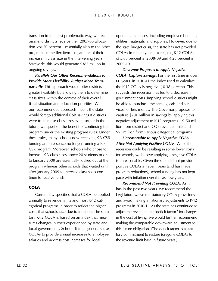ommend districts receive their 2007‑08 alloca‑ tion less 20 percent—essentially akin to the other programs in the flex item—regardless of their increase in class size in the intervening years. Statewide, this would generate \$382 million in ongoing savings.

Itankian in the Rost problematic way, we receive inprojects including expection, including methods and supplies to the methods and projects in the other the state hudge transition in the controllation in the description in *Parallels Our Other Recommendations to Provide More Flexibility, Budget More Transparently.* This approach would offer districts greater flexibility by allowing them to determine class sizes within the context of their overall fiscal situation and education priorities. While our recommended approach means the state would forego additional CSR savings if districts were to increase class sizes even further in the future, we question the benefit of continuing the program under the existing program rules. Under these rules, many schools now receiving K-3 CSR funding are in essence no longer running a K-3 CSR program. Moreover, schools who chose to increase K-3 class sizes above 20 students prior to January 2009 are essentially locked out of the program whereas other schools that waited until after January 2009 to increase class sizes continue to receive funds.

#### **COLA**

Current law specifies that a COLA be applied annually to revenue limits and most K-12 categorical programs in order to reflect the higher costs that schools face due to inflation. The statutory K-12 COLA is based on an index that measures changes in costs experienced by state and local governments. School districts generally use COLAs to provide annual increases to employee salaries and address cost increases for local

operating expenses, including employee benefits, utilities, materials, and supplies. However, due to the state budget crisis, the state has not provided COLAs in recent years—foregoing K-12 COLAs of 5.66 percent in 2008‑09 and 4.25 percent in 2009‑10.

*Governor Proposes to Apply Negative COLA, Capture Savings.* For the first time in over 60 years, in 2010‑11 the index used to calculate the K-12 COLA is negative (-0.38 percent). This suggests the recession has led to a decrease in government costs, implying school districts might be able to purchase the same goods and services for less money. The Governor proposes to capture \$201 million in savings by applying this negative adjustment to K-12 programs—\$150 mil‑ lion from district and COE revenue limits and \$51 million from various categorical programs.

*Unreasonable to Apply Negative COLA After Not Applying Positive COLAs.* While the recession could be resulting in some lower costs for schools, we believe applying a negative COLA is unreasonable. Given the state did not provide positive COLAs in recent years (and has made program reductions), school funding has not kept pace with inflation over the last few years.

*Recommend Not Providing COLA.* As it has in the past two years, we recommend the Legislature waive the statutory COLA provisions and avoid making inflationary adjustments to K-12 programs in 2010‑11. As the state has continued to adjust the revenue limit "deficit factor" for changes in the cost of living, we would further recommend making the comparable downward adjustment to this future obligation. (The deficit factor is a statutory commitment to restore foregone COLAs to the revenue limit base in future years.)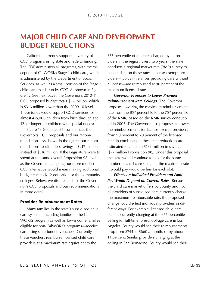### <span id="page-32-0"></span>**Major Child Care and Development Budget Reductions**

California currently supports a variety of CCD programs using state and federal funding. The CDE administers all programs, with the exception of CalWORKs Stage 1 child care, which is administered by the Department of Social Services, as well as a small portion of the Stage 2 child care that is run by CCC. As shown in Figure 12 (see next page), the Governor's 2010‑11 CCD proposed budget totals \$2.8 billion, which is \$316 million lower than the 2009-10 level. These funds would support CCD services for almost 415,000 children from birth through age 12 (or longer for children with special needs).

Figure 13 (see page 35) summarizes the Governor's CCD proposals and our recommendations. As shown in the figure, our recommendations result in less savings—\$217 million instead of \$316 million. If the Legislature were to spend at the same overall Proposition 98 level as the Governor, accepting our more modest CCD alternative would mean making additional budget cuts to K-12 education or the community colleges. Below, we discuss each of the Governor's CCD proposals and our recommendations in more detail.

#### **Provider Reimbursement Rates**

Many families in the state's subsidized child care system—including families in the Cal-WORKs program as well as low-income families eligible for non-CalWORKs programs—receive care using state-funded vouchers. Currently, these vouchers reimburse licensed child care providers at a maximum rate equivalent to the

85<sup>th</sup> percentile of the rates charged by all providers in the region. Every two years, the state conducts a regional market rate (RMR) survey to collect data on these rates. License-exempt providers—typically relatives providing care without a license—are reimbursed at 90 percent of the maximum licensed rate.

*Governor Proposes to Lower Provider Reimbursement Rate Ceilings.* The Governor proposes lowering the maximum reimbursement rate from the  $85<sup>th</sup>$  percentile to the  $75<sup>th</sup>$  percentile of the RMR, based on the RMR survey conducted in 2005. The Governor also proposes to lower the reimbursements for license-exempt providers from 90 percent to 70 percent of the licensed rate. In combination, these rate reductions are estimated to generate \$132 million in savings (\$77 million Proposition 98). Under this proposal, the state would continue to pay for the same number of child care slots, but the maximum rate it would pay would be less for each slot.

*Effects on Individual Providers and Families Would Depend on Current Rates.* Because the child care market differs by county and not all providers of subsidized care currently charge the maximum reimbursable rate, the proposed change would effect individual providers in dif‑ ferent ways. For example, licensed child care centers currently charging at the 85<sup>th</sup> percentile ceiling for full-time, preschool-age care in Los Angeles County would see their reimbursements drop from \$744 to \$660 a month, or by about 11 percent. Similar providers charging at the ceiling in San Bernadino County would see their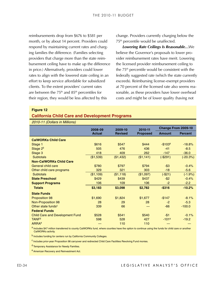#### **Figure 12**

#### **California Child Care and Development Programs**

| reimbursements drop from \$676 to \$581 per<br>month, or by about 14 percent. Providers could<br>respond by maintaining current rates and charg-<br>ing families the difference. (Families selecting<br>providers that charge more than the state reim-<br>bursement ceiling have to make up the difference<br>in price.) Alternatively, providers could lower<br>rates to align with the lowered state ceiling in an<br>effort to keep service affordable for subsidized<br>clients. To the extent providers' current rates<br>are between the $75th$ and $85th$ percentiles for<br>their region, they would be less affected by this |                          |                           | change. Providers currently charging below the<br>75 <sup>th</sup> percentile would be unaffected.<br>Lowering Rate Ceilings Is Reasonable We<br>believe the Governor's proposals to lower pro-<br>vider reimbursement rates have merit. Lowering<br>the licensed provider reimbursement ceiling to<br>the 75 <sup>th</sup> percentile would be consistent with the<br>federally suggested rate (which the state currently<br>exceeds). Reimbursing license-exempt providers<br>at 70 percent of the licensed rate also seems rea-<br>sonable, as these providers have lower overhead<br>costs and might be of lower quality (having not |               |                     |
|----------------------------------------------------------------------------------------------------------------------------------------------------------------------------------------------------------------------------------------------------------------------------------------------------------------------------------------------------------------------------------------------------------------------------------------------------------------------------------------------------------------------------------------------------------------------------------------------------------------------------------------|--------------------------|---------------------------|------------------------------------------------------------------------------------------------------------------------------------------------------------------------------------------------------------------------------------------------------------------------------------------------------------------------------------------------------------------------------------------------------------------------------------------------------------------------------------------------------------------------------------------------------------------------------------------------------------------------------------------|---------------|---------------------|
| <b>Figure 12</b><br><b>California Child Care and Development Programs</b><br>2010-11 (Dollars in Millions)                                                                                                                                                                                                                                                                                                                                                                                                                                                                                                                             |                          |                           |                                                                                                                                                                                                                                                                                                                                                                                                                                                                                                                                                                                                                                          |               |                     |
|                                                                                                                                                                                                                                                                                                                                                                                                                                                                                                                                                                                                                                        |                          |                           |                                                                                                                                                                                                                                                                                                                                                                                                                                                                                                                                                                                                                                          |               | Change From 2009-10 |
|                                                                                                                                                                                                                                                                                                                                                                                                                                                                                                                                                                                                                                        | 2008-09<br><b>Actual</b> | 2009-10<br><b>Revised</b> | 2010-11<br><b>Proposed</b>                                                                                                                                                                                                                                                                                                                                                                                                                                                                                                                                                                                                               | <b>Amount</b> | <b>Percent</b>      |
| <b>CalWORKs Child Care</b>                                                                                                                                                                                                                                                                                                                                                                                                                                                                                                                                                                                                             |                          |                           |                                                                                                                                                                                                                                                                                                                                                                                                                                                                                                                                                                                                                                          |               |                     |
| Stage 1                                                                                                                                                                                                                                                                                                                                                                                                                                                                                                                                                                                                                                | \$616                    | \$547                     | \$444                                                                                                                                                                                                                                                                                                                                                                                                                                                                                                                                                                                                                                    | $-$103a$      | $-18.8%$            |
| Stage 2 <sup>b</sup>                                                                                                                                                                                                                                                                                                                                                                                                                                                                                                                                                                                                                   | 505                      | 476                       | 436                                                                                                                                                                                                                                                                                                                                                                                                                                                                                                                                                                                                                                      | $-41$         | $-8.5$              |
| Stage 3                                                                                                                                                                                                                                                                                                                                                                                                                                                                                                                                                                                                                                | 418                      | 409                       | 262                                                                                                                                                                                                                                                                                                                                                                                                                                                                                                                                                                                                                                      | $-147$        | $-36.0$             |
| <b>Subtotals</b>                                                                                                                                                                                                                                                                                                                                                                                                                                                                                                                                                                                                                       | (\$1,539)                | (\$1,432)                 | (\$1,141)                                                                                                                                                                                                                                                                                                                                                                                                                                                                                                                                                                                                                                | $(-$291)$     | $(-20.3%)$          |
| <b>Non-CalWORKs Child Care</b>                                                                                                                                                                                                                                                                                                                                                                                                                                                                                                                                                                                                         |                          |                           |                                                                                                                                                                                                                                                                                                                                                                                                                                                                                                                                                                                                                                          |               |                     |
| <b>General child care</b>                                                                                                                                                                                                                                                                                                                                                                                                                                                                                                                                                                                                              | \$780                    | \$797                     | \$794                                                                                                                                                                                                                                                                                                                                                                                                                                                                                                                                                                                                                                    | $- $3$        | $-0.4%$             |
| Other child care programs                                                                                                                                                                                                                                                                                                                                                                                                                                                                                                                                                                                                              | 329                      | 321                       | 303                                                                                                                                                                                                                                                                                                                                                                                                                                                                                                                                                                                                                                      | $-18$         | $-5.6$              |
| <b>Subtotals</b>                                                                                                                                                                                                                                                                                                                                                                                                                                                                                                                                                                                                                       | (\$1,109)                | (\$1,118)                 | (\$1,097)                                                                                                                                                                                                                                                                                                                                                                                                                                                                                                                                                                                                                                | $(-$21)$      | $(-1.9%)$           |
| <b>State Preschool</b>                                                                                                                                                                                                                                                                                                                                                                                                                                                                                                                                                                                                                 | \$429                    | \$439                     | \$437                                                                                                                                                                                                                                                                                                                                                                                                                                                                                                                                                                                                                                    | $-$ \$2       | $-0.4%$             |
| <b>Support Programs</b>                                                                                                                                                                                                                                                                                                                                                                                                                                                                                                                                                                                                                | 106                      | 109                       | 106                                                                                                                                                                                                                                                                                                                                                                                                                                                                                                                                                                                                                                      | $-2$          | $-2.2$              |
| <b>Totals</b>                                                                                                                                                                                                                                                                                                                                                                                                                                                                                                                                                                                                                          | \$3,183                  | \$3,098                   | \$2,782                                                                                                                                                                                                                                                                                                                                                                                                                                                                                                                                                                                                                                  | $-$ \$316     | $-10.2%$            |
| <b>State Funds</b>                                                                                                                                                                                                                                                                                                                                                                                                                                                                                                                                                                                                                     |                          |                           |                                                                                                                                                                                                                                                                                                                                                                                                                                                                                                                                                                                                                                          |               |                     |
| <b>Proposition 98</b>                                                                                                                                                                                                                                                                                                                                                                                                                                                                                                                                                                                                                  | \$1,690                  | \$1,824                   | \$1,677                                                                                                                                                                                                                                                                                                                                                                                                                                                                                                                                                                                                                                  | $-$147$       | $-8.1%$             |
| <b>Non-Proposition 98</b>                                                                                                                                                                                                                                                                                                                                                                                                                                                                                                                                                                                                              | 28                       | 29                        | 28                                                                                                                                                                                                                                                                                                                                                                                                                                                                                                                                                                                                                                       | $-2$          | $-5.3$              |
| Other state funds <sup>c</sup>                                                                                                                                                                                                                                                                                                                                                                                                                                                                                                                                                                                                         | 339                      | 66                        |                                                                                                                                                                                                                                                                                                                                                                                                                                                                                                                                                                                                                                          | $-66$         | $-100.0$            |
| <b>Federal Funds</b>                                                                                                                                                                                                                                                                                                                                                                                                                                                                                                                                                                                                                   |                          |                           |                                                                                                                                                                                                                                                                                                                                                                                                                                                                                                                                                                                                                                          |               |                     |
| <b>Child Care and Development Fund</b>                                                                                                                                                                                                                                                                                                                                                                                                                                                                                                                                                                                                 | \$528                    | \$541                     | \$540                                                                                                                                                                                                                                                                                                                                                                                                                                                                                                                                                                                                                                    | $-$1$         | $-0.1%$             |
| <b>TANF<sup>d</sup></b>                                                                                                                                                                                                                                                                                                                                                                                                                                                                                                                                                                                                                | 598                      | 528                       | 427                                                                                                                                                                                                                                                                                                                                                                                                                                                                                                                                                                                                                                      | $-101a$       | $-19.2$             |
| <b>ARRA</b> <sup>e</sup>                                                                                                                                                                                                                                                                                                                                                                                                                                                                                                                                                                                                               |                          | 110                       | 110                                                                                                                                                                                                                                                                                                                                                                                                                                                                                                                                                                                                                                      |               |                     |
| a Includes \$47 million transferred to county CalWORKs fund, where counties have the option to continue using the funds for child care or another<br>CalWORKs activity.                                                                                                                                                                                                                                                                                                                                                                                                                                                                |                          |                           |                                                                                                                                                                                                                                                                                                                                                                                                                                                                                                                                                                                                                                          |               |                     |
| b Includes funding for centers run by California Community Colleges.                                                                                                                                                                                                                                                                                                                                                                                                                                                                                                                                                                   |                          |                           |                                                                                                                                                                                                                                                                                                                                                                                                                                                                                                                                                                                                                                          |               |                     |
| <sup>C</sup> Includes prior-year Proposition 98 carryover and redirected Child Care Facilities Revolving Fund monies.                                                                                                                                                                                                                                                                                                                                                                                                                                                                                                                  |                          |                           |                                                                                                                                                                                                                                                                                                                                                                                                                                                                                                                                                                                                                                          |               |                     |
| <sup>d</sup> Temporary Assistance for Needy Families.                                                                                                                                                                                                                                                                                                                                                                                                                                                                                                                                                                                  |                          |                           |                                                                                                                                                                                                                                                                                                                                                                                                                                                                                                                                                                                                                                          |               |                     |
| <sup>e</sup> American Recovery and Reinvestment Act.                                                                                                                                                                                                                                                                                                                                                                                                                                                                                                                                                                                   |                          |                           |                                                                                                                                                                                                                                                                                                                                                                                                                                                                                                                                                                                                                                          |               |                     |
|                                                                                                                                                                                                                                                                                                                                                                                                                                                                                                                                                                                                                                        |                          |                           |                                                                                                                                                                                                                                                                                                                                                                                                                                                                                                                                                                                                                                          |               |                     |
|                                                                                                                                                                                                                                                                                                                                                                                                                                                                                                                                                                                                                                        |                          |                           | LEGISLATIVE ANALYST'S OFFICE                                                                                                                                                                                                                                                                                                                                                                                                                                                                                                                                                                                                             |               |                     |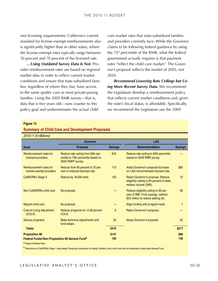met licensing requirements). California's current standard for license-exempt reimbursements also is significantly higher than in other states, where the license-exempt rates typically range between 50 percent and 70 percent of the licensed rate.

*…Using Outdated Survey Data Is Not.* Pro‑ vider reimbursement rates are based on regional market data in order to reflect current market conditions and ensure that state-subsidized families, regardless of where they live, have access to the same quality care as most private-paying families. Using the 2005 RMR survey—that is, data that is five years old—runs counter to this policy goal and underestimates the actual child

care market rates that state-subsidized families and providers currently face. While the Governor claims to be following federal guidance by using the 75<sup>th</sup> percentile of the RMR, what the federal government *actually* requires is that payment rates "reflect the child care market." The Governor's proposal reflects the market of 2005, not 2010.

*Recommend Lowering Rate Ceilings but Using More Recent Survey Data.* We recommend the Legislature develop a reimbursement policy that reflects current market conditions and, given the state's fiscal status, is affordable. Specifically, we recommend the Legislature use the 2009

#### **Figure 13**

#### **Summary of Child Care and Development Proposals**

| 2010-11 (In Millions)                                                          |                                                                                                            |                |                                                                                                                      |                |
|--------------------------------------------------------------------------------|------------------------------------------------------------------------------------------------------------|----------------|----------------------------------------------------------------------------------------------------------------------|----------------|
|                                                                                | Governor                                                                                                   |                | <b>LAO</b>                                                                                                           |                |
| <b>Issue</b>                                                                   | Proposal                                                                                                   | <b>Savings</b> | <b>Recommendation</b>                                                                                                | <b>Savings</b> |
| Reimbursement rates for<br>licensed providers                                  | Reduce rate ceiling from 85th per-<br>centile to 75th percentile based on<br>2005 RMR <sup>a</sup> survey. | \$19           | Reduce rate ceiling to 60th percentile<br>based on 2009 RMR survey.                                                  |                |
| Reimbursement rates for<br>license-exempt providers                            | Reduce from 90 percent to 70 per-<br>cent of reduced licensed rate.                                        | 113            | Adopt Governor's proposal but base<br>on LAO-recommended licensed rate.                                              | \$80           |
| CalWORKs Stage 3                                                               | Reduce by 18,000 slots.                                                                                    | 123            | Reject Governor's proposal. Reduce<br>eligibility ceiling to 60 percent of state<br>median income (SMI).             | 15             |
| Non-CalWORKs child care                                                        | No proposal.                                                                                               |                | Reduce eligibility ceiling to 60 per-<br>cent of SMI. From savings, redirect<br>\$55 million to reduce waiting list. | 60             |
| Migrant child care                                                             | No proposal.                                                                                               |                | Align funding with program need.                                                                                     | $\overline{7}$ |
| Cost-of-Living Adjustment<br>(COLA)                                            | Reduce programs for -0.38 percent<br>COLA.                                                                 | 6              | Reject Governor's proposal.                                                                                          |                |
| Various programs                                                               | Make technical adjustments and<br>fund swaps.                                                              | 55             | Adopt Governor's proposal.                                                                                           | 55             |
| <b>Totals</b>                                                                  |                                                                                                            | \$316          |                                                                                                                      | \$217          |
| <b>Proposition 98</b><br><b>Federal Funds/Non-Proposition 98 General Fundb</b> |                                                                                                            | \$147<br>169   |                                                                                                                      | \$68<br>149    |

a Regional Market Rate.

b Reductions to CalWORKs Stage 1 save federal Temporary Assistance for Needy Families funds, which can then be redirected to save state General Fund.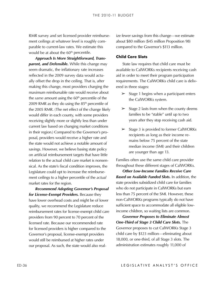ment ceilings at whatever level is roughly comparable to current-law rates. We estimate this would be at about the 60<sup>th</sup> percentile.

RMR survey and set licensed provider reimburses ize liews spain is to find thange-we colling and what extense is not like the set of the set allows the survey and set of the set allows the survey and the coverance share t *Approach Is More Straightforward, Transparent, and Defensible.* While this change may seem dramatic, the inflationary rate increases reflected in the 2009 survey data would actually offset the drop in the ceiling. That is, after making this change, most providers charging the maximum reimbursable rate would receive about the *same* amount using the 60<sup>th</sup> percentile of the 2009 RMR as they do using the  $85<sup>th</sup>$  percentile of the 2005 RMR. (The net effect of the change likely would differ in each county, with some providers receiving slightly more or slightly less than under current law based on changing market conditions in their region.) Compared to the Governor's proposal, providers would receive a higher rate and the state would not achieve a notable amount of savings. However, we believe basing state policy on artificial reimbursement targets that have little relation to the actual child care market is nonsensical. As the state's fiscal condition improves, the Legislature could opt to increase the reimbursement ceilings to a higher percentile of the *actual* market rates for the region.

*Recommend Adopting Governor's Proposal for License-Exempt Providers.* Because they have lower overhead costs and might be of lower quality, we recommend the Legislature reduce reimbursement rates for license-exempt child care providers from 90 percent to 70 percent of the licensed rate. Because our recommended rate for licensed providers is higher compared to the Governor's proposal, license-exempt providers would still be reimbursed at higher rates under our proposal. As such, the state would also realize fewer savings from this change—we estimate about \$80 million (\$45 million Proposition 98) compared to the Governor's \$113 million.

#### **Child Care Slots**

State law requires that child care must be available to CalWORKs recipients receiving cash aid in order to meet their program participation requirements. The CalWORKs child care is delivered in three stages:

- $\geq$  Stage 1 begins when a participant enters the CalWORKs system.
- $\geq$  Stage 2 lasts from when the county deems families to be "stable" until up to two years after they stop receiving cash aid.
- $\geq$  Stage 3 is provided to former CalWORKs recipients as long as their income re‑ mains below 75 percent of the state median income (SMI) and their children are younger than age 13.

Families often use the same child care provider throughout these different stages of CalWORKs.

*Other Low-Income Families Receive Care Based on Available Funded Slots.* In addition, the state provides subsidized child care for families who do not participate in CalWORKs but earn less than 75 percent of the SMI. However, these non-CalWORKs programs typically do not have sufficient space to accommodate all eligible lowincome children, so waiting lists are common.

*Governor Proposes to Eliminate Almost One-Third of Stage 3 Child Care Slots.* The Governor proposes to cut CalWORKs Stage 3 child care by \$123 million—eliminating about 18,000, or one-third, of all Stage 3 slots. The administration estimates roughly 11,000 of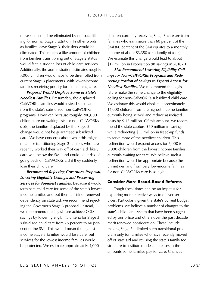these slots could be eliminated by not backfill‑ ing for normal Stage 3 attrition. In other words, as families leave Stage 3, their slots would be eliminated. This means a like amount of children from families transitioning out of Stage 2 status would face a sudden loss of child care services. Additionally, the administration estimates roughly 7,000 children would have to be disenrolled from current Stage 3 placements, with lower-income families receiving priority for maintaining care.

*Proposal Would Displace Some of State's Neediest Families.* Presumably, the displaced CalWORKs families would instead seek care from the state's subsidized non-CalWORKs programs. However, because roughly 200,000 children are on waiting lists for non-CalWORKs slots, the families displaced by the Stage 3 change would not be guaranteed subsidized care. We have concerns about what this might mean for transitioning Stage 2 families who have recently worked their way off of cash aid, likely earn well below the SMI, and could be at risk of going back on CalWORKs aid if they suddenly lose their child care.

*Recommend Rejecting Governor's Proposal, Lowering Eligibility Ceilings, and Preserving Services for Neediest Families.* Because it would terminate child care for some of the state's lowest income families and put them at risk of renewed dependency on state aid, we recommend rejecting the Governor's Stage 3 proposal. Instead, we recommend the Legislature achieve CCD savings by lowering eligibility criteria for Stage 3 subsidized child care from 75 percent to 60 percent of the SMI. This would mean the highest income Stage 3 families would lose care, but services for the lowest income families would be protected. We estimate approximately 4,000

children currently receiving Stage 3 care are from families who earn more than 60 percent of the SMI (60 percent of the SMI equates to a monthly income of about \$3,350 for a family of four.) We estimate this change would lead to about \$15 million in Proposition 98 savings in 2010-11.

*Also Recommend Lowering Eligibility Ceilings for Non-CalWORKs Programs and Redirecting Portion of Savings to Expand Access for Neediest Families.* We recommend the Legis‑ lature make the same change to the eligibility ceiling for non-CalWORKs subsidized child care. We estimate this would displace approximately 14,000 children from the highest income families currently being served and reduce associated costs by \$115 million. Of this amount, we recommend the state capture \$60 million in savings while redirecting \$55 million in freed-up funds to serve more of the neediest children. This redirection would expand access for 5,000 to 6,000 children from the lowest income families currently waiting for care. We believe such a redirection would be appropriate because the unmet demand from very low-income families for non-CalWORKs care is so high.

#### **Consider More Broad-Based Reforms**

Tough fiscal times can be an impetus for exploring more effective ways to deliver services. Particularly given the state's current budget problems, we believe a number of changes to the state's child care system that have been suggested by our office and others over the past decade merit renewed consideration. These include making Stage 3 a limited-term transitional program only for families who have recently moved off of state aid and revising the state's family fee structure to institute modest increases in the amounts some families pay for care. Changes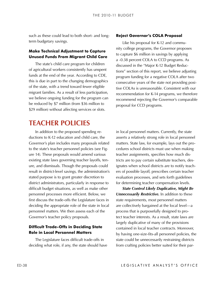<span id="page-37-0"></span>term budgetary savings.

#### **Make Technical Adjustment to Capture Unused Funds From Migrant Child Care**

The state's child care program for children of agricultural workers consistently has unspent funds at the end of the year. According to CDE, this is due in part to the changing demographics of the state, with a trend toward fewer eligible migrant families. As a result of less participation, we believe ongoing funding for the program can be reduced by \$7 million (from \$36 million to \$29 million) without affecting services or slots.

#### **Reject Governor's COLA Proposal**

Like his proposal for K-12 and community college programs, the Governor proposes to capture \$6 million in savings by applying a -0.38 percent COLA to CCD programs. As discussed in the "Major K-12 Budget Reduc‑ tions" section of this report, we believe adjusting program funding for a negative COLA after two consecutive years of the state not providing positive COLAs is unreasonable. Consistent with our recommendation for K-14 programs, we therefore recommend rejecting the Governor's comparable proposal for CCD programs.

### **Teacher Policies**

**Such as these could lead to both short- and long-<br><b>Reject Gowernor's COLA Proposal on K-2**<br>
Such as these could lead to the such a such a such a such a such a such a such a such a such a such a such a such as the such as In addition to the proposed spending re‑ ductions to K-12 education and child care, the Governor's plan includes many proposals related to the state's teacher personnel policies (see Figure 14). These proposals would amend various existing state laws governing teacher layoffs, tenure, and dismissals. Though the proposals could result in district-level savings, the administration's stated purpose is to grant greater discretion to district administrators, particularly in response to difficult budget situations, as well as make other personnel processes more efficient. Below, we first discuss the trade-offs the Legislature faces in deciding the appropriate role of the state in local personnel matters. We then assess each of the Governor's teacher policy proposals.

#### **Difficult Trade-Offs in Deciding State Role in Local Personnel Matters**

The Legislature faces difficult trade-offs in deciding what role, if any, the state should have

in local personnel matters. Currently, the state asserts a relatively strong role in local personnel matters. State law, for example, lays out the procedures school districts must use when making teacher assignments, specifies how much dis‑ tricts are to pay certain substitute teachers, designates when school districts are to notify teachers of possible layoff, prescribes certain teacher evaluation processes, and sets forth guidelines for determining teacher compensation levels.

*State Control Likely Duplicative, Might Be Unnecessarily Restrictive.* In addition to these state requirements, most personnel matters are collectively bargained at the local level—a process that is purposefully designed to protect teacher interests. As a result, state laws are largely duplicative of many of the provisions contained in local teacher contracts. Moreover, by having one-size-fits-all personnel policies, the state could be unnecessarily restraining districts from crafting policies better suited for their par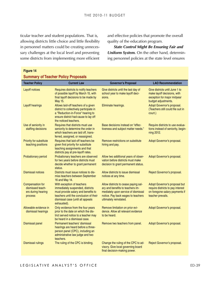ticular teacher and student populations. That is, allowing districts little choice and little flexibility in personnel matters could be creating unnecessary challenges at the local level and preventing some districts from implementing more efficient

and effective policies that promote the overall quality of the education program.

*State Control Might Be Ensuring Fair and Uniform System.* On the other hand, determining personnel policies at the state level ensures

#### **Figure 14**

#### **Summary of Teacher Policy Proposals**

| <b>Teacher Policy</b>                                                        | <b>Current Law</b>                                                                                                                                                                                  | <b>Governor's Proposal</b>                                                                                                                                                      | <b>LAO Recommendation</b>                                                                                                 |
|------------------------------------------------------------------------------|-----------------------------------------------------------------------------------------------------------------------------------------------------------------------------------------------------|---------------------------------------------------------------------------------------------------------------------------------------------------------------------------------|---------------------------------------------------------------------------------------------------------------------------|
| <b>Layoff notices</b>                                                        | Requires districts to notify teachers<br>of possible layoff by March 15, with<br>final layoff decisions to be made by<br>May 15.                                                                    | Give districts until the last day of<br>school year to make layoff deci-<br>sions.                                                                                              | Give districts until June 1 to<br>make layoff decisions, with<br>exception for major midyear<br>budget adjustments.       |
| Layoff hearings                                                              | Allows laid-off teachers of a given<br>district to collectively participate in<br>a "Reduction-in-Force" hearing to<br>ensure district had cause to lay off<br>the noticed teachers.                | Eliminate hearings.                                                                                                                                                             | Adopt Governor's proposal.<br>(Teachers still could file suit in<br>court.)                                               |
| Use of seniority in<br>staffing decisions                                    | Requires that districts must use<br>seniority to determine the order in<br>which teachers are laid off, trans-<br>ferred, assigned, or reassigned.                                                  | Base decisions instead on "effec-<br>tiveness and subject matter needs."                                                                                                        | Require districts to use evalua-<br>tions instead of seniority, begin-<br>ning 2012.                                      |
| Priority for substitute<br>teaching positions                                | Requires that laid-off teachers be<br>given first priority for substitute<br>teaching assignments and that<br>districts pay at pre-layoff rates.                                                    | Remove restrictions on substitute<br>hiring and pay.                                                                                                                            | Adopt Governor's proposal.                                                                                                |
| <b>Probationary period</b>                                                   | Probationary teachers are observed<br>for two years before districts must<br>decide whether to grant permanent<br>status.                                                                           | Allow two additional years of obser-<br>vation before districts must make<br>decision to grant permanent status.                                                                | Adopt Governor's proposal.                                                                                                |
| <b>Dismissal notices</b>                                                     | Districts must issue notices to dis-<br>miss teachers between September<br>16 and May 14.                                                                                                           | Allow districts to issue dismissal<br>notices at any time.                                                                                                                      | Reject Governor's proposal.                                                                                               |
| <b>Compensation for</b><br>dismissed teach-<br>ers during hearing<br>process | With exception of teachers<br>immediately suspended, districts<br>must provide salary and benefits to<br>teachers until the conclusion of their<br>dismissal case (until all appeals<br>exhausted). | Allow districts to cease paying sal-<br>ary and benefits to teachers im-<br>mediately upon service of dismissal<br>notice. Pay back wages to teachers<br>ultimately reinstated. | Adopt Governor's proposal but<br>require districts to pay interest<br>on foregone salary payments if<br>teacher prevails. |
| Allowable evidence in<br>dismissal hearings                                  | Only evidence from the four years<br>prior to the date on which the dis-<br>trict served notice to a teacher may<br>be heard in a dismissal case.                                                   | Remove limitation on prior evi-<br>dence. Allow all relevant evidence<br>to be heard.                                                                                           | Adopt Governor's proposal.                                                                                                |
| <b>Dismissal panel</b>                                                       | Permanent teachers' dismissal<br>hearings are heard before a three-<br>person panel (CPC), including an<br>administrative law judge and two<br>teachers.                                            | Remove two teachers from panel.                                                                                                                                                 | Adopt Governor's proposal.                                                                                                |
| <b>Dismissal rulings</b>                                                     | The ruling of the CPC is binding.                                                                                                                                                                   | Change the ruling of the CPC to ad-<br>visory. Give local governing board<br>final decision-making power.                                                                       | Reject Governor's proposal.                                                                                               |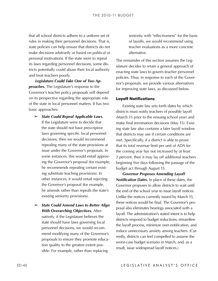rules in making their personnel decisions. That is, state policies can help ensure that districts do not make decisions arbitrarily or based on political or personal motivations. If the state were to repeal its laws regarding personnel decisions, some districts potentially could abuse their local authority and treat teachers poorly.

*Legislature Could Take One of Two Approaches.* The Legislature's response to the Governor's teacher policy proposals will depend on its perspective regarding the appropriate role of the state in local personnel matters. It has two basic approaches:

- LO stabilities in the control of the school districts adherent and school districts added to a uniform set of the school districts and the power of the school districts and the power of the school of the school of the sch ➢ *State Could Repeal Applicable Laws.* If the Legislature were to decide that the state should not have prescriptive laws governing specific local personnel decisions, then we would recommend repealing many of the state provisions at issue under the Governor's proposals. In some instances, this would entail approving the Governor's proposal (for example, he recommends repealing certain existing substitute teaching provisions). In other instances, it would entail rejecting the Governor's proposal (for example, he amends rather than repeals the state's existing seniority provisions).
	- ➢ *State Could Amend Laws to Better Align With Overarching Objectives.* Alter‑ natively, if the Legislature believes the state should have laws governing local personnel decisions, we would recommend modifying many of the Governor's proposals to ensure they promote education quality to the greatest extent possible. For example, rather than replacing

seniority with "effectiveness" for the basis of layoffs, we would recommend using teacher evaluations as a more concrete alternative.

The remainder of this section assumes the Legislature decides to retain a general approach of enacting state laws to govern teacher personnel policies. Thus, in response to each of the Governor's proposals, we provide various alternatives for improving state laws, as discussed below.

#### **Layoff Notifications**

Existing state law sets forth dates by which districts must notify teachers of possible layoff (March 15 prior to the ensuing school year) and make final termination decisions (May 15). Existing state law also contains a later layoff window that districts may use if certain conditions are met. Specifically, if a district is able to prove that its total revenue limit per unit of ADA for the coming year has not increased by at least 2 percent, then it may lay off additional teachers beginning five days following the passage of the budget act through August 15.

*Governor Proposes Amending Layoff Notification Dates.* In place of these dates, the Governor proposes to allow districts to wait until the end of the school year to issue layoff notices. Unlike the notices currently issued by March 15, these notices would be final. The Governor's pro‑ posal also eliminates hearings associated with a layoff. The administration's stated intent is to help districts respond to budget reductions, streamline the layoff process, minimize over-notification, and reduce unnecessary anxiety among teachers. (Currently, districts can feel compelled to assume the worst-case budget scenario in March, and, as a result, issue widespread layoff notices.)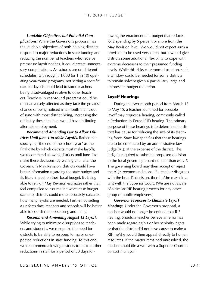*Laudable Objectives but Potential Complications.* While the Governor's proposal has the laudable objectives of both helping districts respond to major reductions in state funding and reducing the number of teachers who receive premature layoff notices, it could create unnecessary complications. As schools are on different schedules, with roughly 1,000 (or 1 in 10) operating year-round programs, not setting a specific date for layoffs could lead to some teachers being disadvantaged relative to other teachers. Teachers in year-round programs could be most adversely affected as they face the greatest chance of being noticed in a month that is out of sync with most district hiring, increasing the difficulty these teachers would have in finding alternate employment.

*Recommend Amending Law to Allow Districts Until June 1 to Make Layoffs.* Rather than specifying "the end of the school year" as the final date by which districts must make layoffs, we recommend allowing districts until June 1 to make these decisions. By waiting until after the Governor's May Revision, districts would have better information regarding the state budget and its likely impact on their local budget. By being able to rely on May Revision estimates rather than feel compelled to assume the worst-case budget scenario, districts could more accurately calculate how many layoffs are needed. Further, by setting a uniform date, teachers and schools will be better able to coordinate job-seeking and hiring.

*Recommend Amending August 15 Layoff.*  While trying to minimize disruptions to teachers and students, we recognize the need for districts to be able to respond to major unexpected reductions in state funding. To this end, we recommend allowing districts to make further reductions in staff for a period of 30 days following the enactment of a budget that reduces K-12 spending by 5 percent or more from the May Revision level. We would not expect such a provision to be used very often, but it would give districts some additional flexibility to cope with extreme decreases to their presumed funding levels. While this risks classroom disruption, such a window could be needed for some districts to remain solvent given a particularly large and unforeseen budget reduction.

#### **Layoff Hearings**

During the two-month period from March 15 to May 15, a teacher identified for possible layoff may request a hearing, commonly called a Reduction-in-Force (RIF) hearing. The primary purpose of these hearings is to determine if a district has cause for reducing the size of its teach‑ ing force. State law specifies that these hearings are to be conducted by an administrative law judge (ALJ) at the expense of the district. The judge is required to submit a proposed decision to the local governing board no later than May 7. The governing board may then accept or reject the ALJ's recommendations. If a teacher disagrees with the board's decision, then he/she may file a writ with the Superior Court. (We are not aware of a similar RIF hearing process for any other group of public employees.)

*Governor Proposes to Eliminate Layoff Hearings.* Under the Governor's proposal, a teacher would no longer be entitled to a RIF hearing. Should a teacher believe an error has been made regarding his or her seniority rights or that the district did not have cause to make a RIF, he/she would then appeal directly to human resources. If the matter remained unresolved, the teacher could file a writ with a Superior Court to contest the layoff.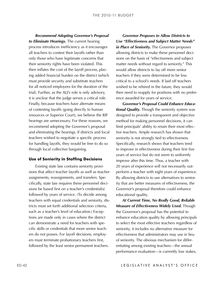**ECONOMIZE GOVERALLY CONTERN CONTERN (CONTERN CONTERN CONTERN (CONTERN CONTERN CONTERN CONTERN CONTERN CONTERN CONTERN CONTERN CONTERN CONTERN CONTERN CONTERN CONTERN CONTERN CONTERN CONTERN CONTERN CONTERN CONTERN CONTERN** *to Eliminate Hearings.* The current hearing process introduces inefficiency as it encourages all teachers to contest their layoffs rather than only those who have legitimate concerns that their seniority rights have been violated. This then inflates the cost of the layoff process, placing added financial burden on the district (which must provide security and substitute teachers for all noticed employees for the duration of the trial). Further, as the ALJ's role is only advisory, it is unclear that the judge serves a critical role. Finally, because teachers have alternate means of contesting layoffs (going directly to human resources or Superior Court), we believe the RIF hearings are unnecessary. For these reasons, we recommend adopting the Governor's proposal and eliminating the hearings. If districts and local teachers wished to negotiate a specific process for handling layoffs, they would be free to do so through local collective bargaining.

#### **Use of Seniority in Staffing Decisions**

Existing state law contains seniority provisions that affect teacher layoffs as well as teacher assignments, reassignments, and transfers. Specifically, state law requires these personnel decisions be based first on a teacher's credential(s) followed by years of service. (To decide among teachers with equal credentials and seniority, dis‑ tricts must set forth additional selection criteria, such as a teacher's level of education.) Exceptions are made only in cases where the district can demonstrate a need for teachers with specific skills or credentials that more senior teachers do not posses. For layoff decisions, employers must terminate probationary teachers first, followed by the least senior permanent teachers.

*Governor Proposes to Allow Districts to Use "Effectiveness and Subject Matter Needs" in Place of Seniority.* The Governor proposes allowing districts to make these personnel decisions on the basis of "effectiveness and subject matter needs without regard to seniority." This would allow districts to lay off more senior teachers if they were determined to be less critical to a school's needs. If laid off teachers wished to be rehired in the future, they would then need to reapply for positions with no preference awarded for years of service.

*Governor's Proposal Could Enhance Educational Quality.* Though the seniority system was designed to provide a transparent and objective method for making personnel decisions, it can limit principals' ability to retain their most effective teachers. Ample research has shown that seniority is not strongly tied to effectiveness. Specifically, research shows that teachers tend to improve in effectiveness during their first five years of service but do not seem to uniformly improve after this time. Thus, a teacher with 20 years of experience will not necessarily outperform a teacher with eight years of experience. By allowing districts to use alternatives to seniority that are better measures of effectiveness, the Governor's proposal therefore could enhance educational quality.

*At Current Time, No Really Good, Reliable Measure of Effectiveness Widely Used.* Though the Governor's proposal has the potential to enhance education quality by allowing principals to select the most effective teachers regardless of seniority, it includes no alternative measure for effectiveness that administrators may use in lieu of seniority. The obvious mechanism for differentiating among existing teachers—the annual performance evaluation—is currently low stakes,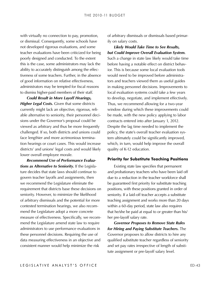with virtually no connection to pay, promotion, or dismissal. Consequently, some schools have not developed rigorous evaluations, and some teacher evaluations have been criticized for being poorly designed and conducted. To the extent this is the case, some administrators may lack the ability to accurately distinguish among the effectiveness of some teachers. Further, in the absence of good information on relative effectiveness, administrators may be tempted for fiscal reasons to dismiss higher-paid members of their staff.

*Could Result in More Layoff Hearings, Higher Legal Costs.* Given that some districts currently might lack an objective, rigorous, reliable alternative to seniority, their personnel decisions under the Governor's proposal could be viewed as arbitrary and thus be more frequently challenged. If so, both districts and unions could face lengthier and more acrimonious termination hearings or court cases. This would increase districts' and unions' legal costs and would likely lower overall employee morale.

*Recommend Use of Performance Evalua*tions as Alternative to Seniority. If the Legislature decides that state laws should continue to govern teacher layoffs and assignments, then we recommend the Legislature eliminate the requirement that districts base these decisions on seniority. However, to minimize the likelihood of arbitrary dismissals and the potential for more contested termination hearings, we also recommend the Legislature adopt a more concrete measure of effectiveness. Specifically, we recommend the Legislature amend state law to require administrators to use performance evaluations in these personnel decisions. Requiring the use of data measuring effectiveness in an objective and consistent manner would help minimize the risk

of arbitrary dismissals or dismissals based primar‑ ily on salary costs.

*Likely Would Take Time to See Results, but Could Improve Overall Evaluation System.*  Such a change in state law likely would take time before having a notable effect on district behavior. This is because some local evaluation tools would need to be improved before administrators and teachers viewed them as useful guides in making personnel decisions. Improvements to local evaluation systems could take a few years to develop, negotiate, and implement effectively. Thus, we recommend allowing for a two-year window during which these improvements could be made, with the new policy applying to labor contracts entered into after January 1, 2012. Despite the lag time needed to implement the policy, the state's overall teacher evaluation system ultimately could be significantly improved, which, in turn, would help improve the overall quality of K-12 education.

#### **Priority for Substitute Teaching Positions**

Existing state law specifies that permanent and probationary teachers who have been laid off due to a reduction in the teacher workforce shall be guaranteed first priority for substitute teaching positions, with these positions granted in order of seniority. If a laid-off teacher accepts a substitute teaching assignment and works more than 20 days within a 60-day period, state law also requires that he/she be paid at equal to or greater than his/ her pre-layoff salary rate.

*Governor Proposes to Remove State Rules for Hiring and Paying Substitute Teachers.* The Governor proposes to allow districts to hire any qualified substitute teacher regardless of seniority and set pay rates irrespective of length of substitute assignment or pre-layoff salary level.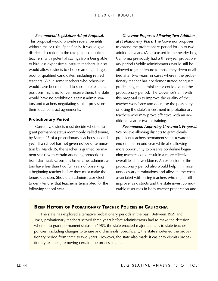<span id="page-43-0"></span>

This proposal would provide several benefits without major risks. Specifically, it would give districts discretion in the rate paid to substitute teachers, with potential savings from being able to hire less expensive substitute teachers. It also would allow districts to choose among a larger pool of qualified candidates, including retired teachers. While some teachers who otherwise would have been entitled to substitute teaching positions might no longer receive them, the state would have no prohibition against administrators and teachers negotiating similar provisions in their local contract agreements.

#### **Probationary Period**

Currently, districts must decide whether to grant permanent status (commonly called tenure) by March 15 of a probationary teacher's second year. If a school has not given notice of termination by March 15, the teacher is granted permanent status with certain attending protections from dismissal. Given this timeframe, administrators have less than two full years of observing a beginning teacher before they must make the tenure decision. Should an administrator elect to deny tenure, that teacher is terminated for the following school year.

**ECONOMING AREASS procedure Adopt Proposal.** Coverant Proposes Allowing Enva Adopt Proposal. A probability the word of the probability in the discussion of the proposal control proposal control in the control of the contro *Governor Proposes Allowing Two Additional Probationary Years.* The Governor proposes to extend the probationary period for up to two additional years. (As discussed in the nearby box, California previously had a three-year probationary period.) While administrators would still be allowed to grant tenure to those they deem qualified after two years, in cases wherein the probationary teacher has not demonstrated adequate proficiency, the administrator could extend the probationary period. The Governor's aim with this proposal is to improve the quality of the teacher workforce and decrease the possibility of losing the state's investment in probationary teachers who may prove effective with an additional year or two of training.

*Recommend Approving Governor's Proposal.*  We believe allowing districts to grant clearly proficient teachers permanent status toward the end of their second year while also allowing more opportunity to observe borderline beginning teachers could result in a more effective overall teacher workforce. An extension of the probationary period also would help minimize unnecessary terminations and alleviate the costs associated with losing teachers who might still improve, as districts and the state invest considerable resources in both teacher preparation and

#### **Brief History of Probationary Teacher Policies in California**

The state has explored alternative probationary periods in the past. Between 1959 and 1983, probationary teachers served three years before administrators had to make the decision whether to grant permanent status. In 1983, the state enacted major changes to state teacher policies, including changes to tenure and dismissals. Specifically, the state shortened the probationary period from three to two years. However, the state also made it easier to dismiss probationary teachers, removing certain due process rights.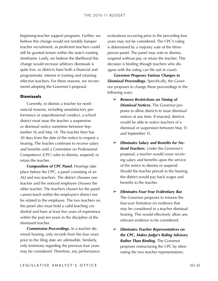beginning-teacher support programs. Further, we believe this change would not notably hamper teacher recruitment, as proficient teachers could still be granted tenure within the state's existing timeframe. Lastly, we believe the likelihood this change would increase arbitrary dismissals is quite low, as districts have both a financial and programmatic interest in training and retaining effective teachers. For these reasons, we recommend adopting the Governor's proposal.

#### **Dismissals**

Currently, to dismiss a teacher for nonfinancial reasons, including unsatisfactory performance or unprofessional conduct, a school district must issue the teacher a suspension or dismissal notice sometime between September 16 and May 14. The teacher then has 30 days from the date of the notice to request a hearing. The teacher continues to receive salary and benefits until a Committee on Professional Competence (CPC) rules to dismiss, suspend, or retain the teacher.

*Composition of CPC Panel.* Hearings take place before the CPC, a panel consisting of an ALJ and two teachers. The district chooses one teacher and the noticed employee chooses the other teacher. The teachers chosen for the panel cannot teach within the employee's district nor be related to the employee. The two teachers on the panel also must hold a valid teaching credential and have at least five years of experience within the past ten years in the discipline of the dismissed teacher.

*Commission Proceedings.* In a teacher dis‑ missal hearing, only records from the four years prior to the filing date are admissible. Similarly, only testimony regarding the previous four years may be considered. Therefore, any performance evaluations occurring prior to the preceding four years may not be considered. The CPC's ruling is determined by a majority vote of the threeperson panel. The panel may vote to dismiss, suspend without pay, or retain the teacher. This decision is binding (though teachers who disagree with the ruling can file suit in court).

*Governor Proposes Various Changes to*  **Dismissal Proceedings.** Specifically, the Governor proposes to change these proceedings in the following ways:

- ➢ *Remove Restrictions on Timing of Dismissal Notices.* The Governor proposes to allow districts to issue dismissal notices at any time. If enacted, districts would be able to notice teachers of a dismissal or suspension between May 15 and September 15.
- ➢ *Eliminates Salary and Benefits for Noticed Teachers.* Under the Governor's proposal, a teacher would cease receiving salary and benefits upon the service of the notice to dismiss or suspend. Should the teacher prevail in the hearing, the district would pay back wages and benefits to the teacher.
- ➢ *Eliminates Four-Year Evidentiary Bar.* The Governor proposes to remove the four-year limitation on evidence that may be considered in a teacher dismissal hearing. This would effectively allow any relevant evidence to be considered.
- ➢ *Eliminates Teacher Representatives on the CPC, Makes Judge's Ruling Advisory Rather Than Binding.* The Governor proposes restructuring the CPC by eliminating the two teacher representatives.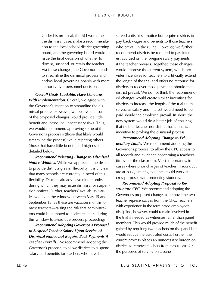the dismissal case, make a recommenda‑ tion to the local school district governing board, and the governing board would issue the final decision of whether to dismiss, suspend, or retain the teacher. Via these changes, the Governor intends to streamline the dismissal process and endow local governing boards with more authority over personnel decisions.

*Overall Goals Laudable, Have Concerns With Implementation.* Overall, we agree with the Governor's intention to streamline the dismissal process. However, we believe that some of the proposed changes would provide little benefit and introduce unnecessary risks. Thus, we would recommend approving some of the Governor's proposals (those that likely would streamline the process) while rejecting others (those that have little benefit and high risk), as detailed below.

*Recommend Rejecting Change to Dismissal Notice Window.* While we appreciate the desire to provide districts greater flexibility, it is unclear that many schools are currently in need of this flexibility. Districts already have nine months during which they may issue dismissal or suspension notices. Further, teachers' availability varies widely in the window between May 15 and September 15, as these are vacation months for most teachers—raising the risk that administrators could be tempted to notice teachers during this window to avoid due process proceedings.

*Recommend Adopting Governor's Proposal to Suspend Teacher Salary Upon Service of Dismissal Notice but Require Back Payments if Teacher Prevails.* We recommend adopting the Governor's proposal to allow districts to suspend salary and benefits for teachers who have been

Uniter this proposal, the ALJ would hear is created a dismissal coicie dismissal case, make a recommenda<br>
Uniter the dismissal case, make a recommenda<br>
United the dismissal case, make a recommenda<br>
the dismissal case, and served a dismissal notice but require districts to pay back wages and benefits to those teachers who prevail in the ruling. However, we further recommend districts be required to pay interest accrued on the foregone salary payments if the teacher prevails. Together, these changes would improve the current system, which provides incentives for teachers to artificially extend the length of the trial and offers no recourse for districts to recover those payments should the district prevail. We do not think the recommended changes would create similar incentives for districts to increase the length of the trial themselves, as salary and interest would need to be paid should the employee prevail. In short, the new system would do a better job of ensuring that neither teacher nor district has a financial incentive to prolong the dismissal process.

*Recommend Adopting Change to Evidentiary Limits.* We recommend adopting the Governor's proposal to allow the CPC access to all records and evidence concerning a teacher's fitness for the classroom. Most importantly, in cases where prior charges of teacher misconduct are at issue, limiting evidence could work at crosspurposes with protecting students.

*Recommend Adopting Proposal to Restructure CPC.* We recommend adopting the Governor's proposed changes to remove the two teacher representatives from the CPC. Teachers with experience in the terminated employee's discipline, however, could remain involved in the trial if needed as witnesses rather than panel members. This would provide much of the benefit gained by requiring two teachers on the panel but would reduce the associated costs. Further, the current process places an unnecessary burden on districts to remove teachers from classrooms for the purposes of serving on a panel.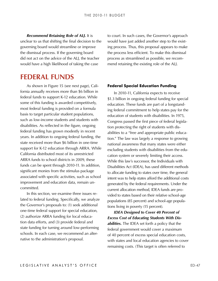<span id="page-46-0"></span>*Recommend Retaining Role of ALJ.* It is unclear to us that shifting the final decision to the governing board would streamline or improve the dismissal process. If the governing board did not act on the advice of the ALJ, the teacher would have a high likelihood of taking the case

### **Federal Funds**

As shown in Figure 15 (see next page), California annually receives more than \$6 billion in federal funds to support K-12 education. While some of this funding is awarded competitively, most federal funding is provided on a formula basis to target particular student populations, such as low-income students and students with disabilities. As reflected in the figure, ongoing federal funding has grown modestly in recent years. In addition to ongoing federal funding, the state received more than \$6 billion in one-time support for K-12 education through ARRA. While California distributed most of its unrestricted ARRA funds to school districts in 2009, these funds can be spent through 2010-11. In addition, significant monies from the stimulus package associated with specific activities, such as school improvement and education data, remain uncommitted.

In this section, we examine three issues re‑ lated to federal funding. Specifically, we analyze the Governor's proposals to: (1) seek additional one-time federal support for special education, (2) authorize ARRA funding for local education data efforts, and (3) provide federal and state funding for turning around low-performing schools. In each case, we recommend an alternative to the administration's proposal.

to court. In such cases, the Governor's approach would have just added another step to the existing process. Thus, this proposal appears to make the process less efficient. To make this dismissal process as streamlined as possible, we recommend retaining the existing role of the ALJ.

#### **Federal Special Education Funding**

In 2010‑11, California expects to receive \$1.3 billion in ongoing federal funding for special education. These funds are part of a longstanding federal commitment to help states pay for the education of students with disabilities. In 1975, Congress passed the first piece of federal legislation protecting the right of students with disabilities to a "free and appropriate public education." The law was largely a response to growing national awareness that many states were either excluding students with disabilities from the education system or severely limiting their access. While this law's successor, the Individuals with Disabilities Act (IDEA), has used different methods to allocate funding to states over time, the general intent was to help states afford the additional costs generated by the federal requirements. Under the current allocation method, IDEA funds are provided to states based on their relative school-age populations (85 percent) and school-age popula‑ tions living in poverty (15 percent).

*IDEA Designed to Cover 40 Percent of Excess Cost of Educating Students With Disabilities.* The IDEA set forth a policy that the federal government would cover a maximum of 40 percent of excess special education costs, with states and local education agencies to cover remaining costs. (This target is often referred to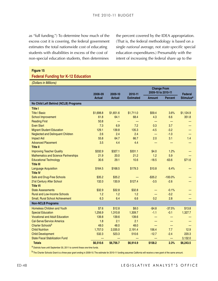as "full funding.") To determine how much of the excess cost it is covering, the federal government estimates the total nationwide cost of educating students with disabilities in excess of the cost of non-special education students, then determines

the percent covered by the IDEA appropriation. (That is, the federal methodology is based on a single *national* average, not *state-specific* special education expenditures.) Presumably with the intent of increasing the federal share up to the

#### **Federal Funding for K-12 Education**

| <b>Federal Funding for K-12 Education</b>                                                                                                                             |               |               |                  |                                          |           |                             |
|-----------------------------------------------------------------------------------------------------------------------------------------------------------------------|---------------|---------------|------------------|------------------------------------------|-----------|-----------------------------|
| (Dollars in Millions)                                                                                                                                                 |               |               |                  |                                          |           |                             |
|                                                                                                                                                                       | 2008-09       | 2009-10       | 2010-11          | <b>Change From</b><br>2009-10 to 2010-11 |           | <b>Federal</b>              |
|                                                                                                                                                                       | <b>Actual</b> | <b>Actual</b> | <b>Estimated</b> | <b>Amount</b>                            | Percent   | <b>Stimulus<sup>a</sup></b> |
| No Child Left Behind (NCLB) Programs                                                                                                                                  |               |               |                  |                                          |           |                             |
| <b>Title I</b>                                                                                                                                                        |               |               |                  |                                          |           |                             |
| <b>Title I Basic</b>                                                                                                                                                  | \$1,698.8     | \$1,651.6     | \$1,711.0        | \$59.4                                   | 3.6%      | \$1,124.9                   |
| <b>School Improvement</b>                                                                                                                                             | 61.8          | 64.1          | 68.4             | 4.3                                      | 6.6       | 351.8                       |
| <b>Reading First</b>                                                                                                                                                  | 50.8          |               |                  |                                          | -         |                             |
| <b>Even Start</b>                                                                                                                                                     | 7.3           | 6.9           | 7.2              | 0.3                                      | 3.7       |                             |
| <b>Migrant Student Education</b>                                                                                                                                      | 129.1         | 139.8         | 135.3            | $-4.5$                                   | $-3.2$    |                             |
| <b>Neglected and Delinquent Children</b>                                                                                                                              | 2.6           | 2.4           | 2.4              | -                                        | $-1.0$    |                             |
| <b>Impact Aid</b>                                                                                                                                                     | 55.8          | 64.7          | 66.7             | 2.0                                      | 3.1       | 1.4                         |
| <b>Advanced Placement</b>                                                                                                                                             | 3.5           | 4.4           | 4.4              |                                          |           |                             |
| <b>Title II</b>                                                                                                                                                       |               |               |                  |                                          |           |                             |
| <b>Improving Teacher Quality</b>                                                                                                                                      | \$332.9       | \$327.1       | \$331.1          | \$4.0                                    | 1.2%      |                             |
| <b>Mathematics and Science Partnerships</b>                                                                                                                           | 21.9          | 20.0          | 21.2             | 1.2                                      | 5.9       |                             |
| <b>Educational Technology</b>                                                                                                                                         | 30.6          | 29.1          | 10.6             | $-18.5$                                  | $-63.6$   | \$71.6                      |
| <b>Title III</b>                                                                                                                                                      |               |               |                  |                                          |           |                             |
| <b>Language Acquisition</b>                                                                                                                                           | \$164.5       | \$168.5       | \$179.3          | \$10.8                                   | 6.4%      |                             |
| <b>Title IV</b>                                                                                                                                                       |               |               |                  |                                          |           |                             |
| Safe and Drug-Free Schools                                                                                                                                            | \$35.2        | \$35.2        |                  | $-$ \$35.2                               | $-100.0%$ |                             |
| 21st Century After School                                                                                                                                             | 132.0         | 130.9         | \$127.4          | $-3.5$                                   | $-2.6$    |                             |
| <b>Title VI</b>                                                                                                                                                       |               |               |                  |                                          |           |                             |
| <b>State Assessments</b>                                                                                                                                              | \$32.9        | \$32.8        | \$32.8           |                                          | $-0.1%$   |                             |
| <b>Rural and Low-Income Schools</b>                                                                                                                                   | 1.2           | 1.2           | 1.2              |                                          | $-3.2$    |                             |
| Small, Rural School Achievement                                                                                                                                       | 6.3           | 6.4           | 6.6              | 0.2                                      | 2.8       |                             |
| <b>Non-NCLB Programs</b>                                                                                                                                              |               |               |                  |                                          |           |                             |
| <b>Homeless Children and Youth</b>                                                                                                                                    | \$7.6         | \$12.8        | \$8.0            | $-$4.8$                                  | $-37.5%$  | \$13.8                      |
| <b>Special Education</b>                                                                                                                                              | 1,256.9       | 1,310.8       | 1,309.7          | $-1.1$                                   | $-0.1$    | 1,327.7                     |
| <b>Vocational and Adult Education</b>                                                                                                                                 | 139.8         | 139.6         | 139.6            |                                          |           |                             |
| Cal-Serve/Service America                                                                                                                                             | 1.8           | 2.1           | 2.1              |                                          |           |                             |
| Charter Schoolsb                                                                                                                                                      | 48.0          | 48.0          | 48.0             |                                          |           |                             |
| <b>Child Nutrition</b>                                                                                                                                                | 1,757.0       | 2,035.0       | 2,191.4          | 156.4                                    | 7.7       | 12.9                        |
| <b>Child Development</b>                                                                                                                                              | 532.3         | 523.3         | 510.6            | $-12.7$                                  | $-2.4$    | 220.3                       |
| <b>State Fiscal Stabilization Fund</b>                                                                                                                                |               |               |                  |                                          |           | 3,132.0                     |
| <b>Totals</b>                                                                                                                                                         | \$6,510.6     | \$6,756.7     | \$6,914.9        | \$158.2                                  | 2.3%      | \$6,243.5                   |
| a Districts have until September 30, 2011 to commit these one-time funds.                                                                                             |               |               |                  |                                          |           |                             |
| b The Charter Schools Grant is a three-year grant ending in 2009-10. The estimate for 2010-11 funding assumes California will receive a new grant of the same amount. |               |               |                  |                                          |           |                             |
|                                                                                                                                                                       |               |               |                  |                                          |           |                             |
|                                                                                                                                                                       |               |               |                  |                                          |           |                             |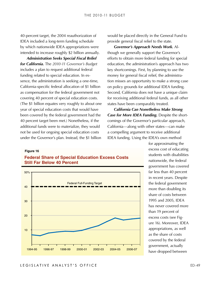40-percent target, the 2004 reauthorization of IDEA included a long-term funding schedule by which nationwide IDEA appropriations were intended to increase roughly \$2 billion annually.

*Administration Seeks Special Fiscal Relief for California.* The *2010-11 Governor's Budget* includes a plan to request additional federal funding related to special education. In essence, the administration is seeking a one-time, California-specific federal allocation of \$1 billion as compensation for the federal government not covering 40 percent of special education costs. (The \$1 billion equates very roughly to about one year of special education costs that would have been covered by the federal government had the 40 percent target been met.) Nonetheless, if the additional funds were to materialize, they would not be used for ongoing special education costs under the Governor's plan. Instead, the \$1 billion

would be placed directly in the General Fund to provide general fiscal relief to the state.

*Governor's Approach Needs Work.* Al‑ though we generally support the Governor's efforts to obtain more federal funding for special education, the administration's approach has two key shortcomings. First, by planning to use the money for general fiscal relief, the administration misses an opportunity to make a strong case on policy grounds for additional IDEA funding. Second, California does not have a unique claim for receiving additional federal funds, as all other states have been comparably treated.

*California Can Nonetheless Make Strong*  **Case for More IDEA Funding.** Despite the shortcomings of the Governor's particular approach, California—along with other states—can make a compelling argument to receive additional IDEA funding. Using the IDEA's own method

#### **Figure 16**

#### **Federal Share of Special Education Excess Costs Still Far Below 40 Percent**



for approximating the excess cost of educating students with disabilities nationwide, the federal government has covered far less than 40 percent in recent years. Despite the federal government more than doubling its share of costs between 1995 and 2005, IDEA has never covered more than 19 percent of excess costs (see Figure 16). Moreover, IDEA appropriations, as well as the share of costs covered by the federal government, actually have dropped between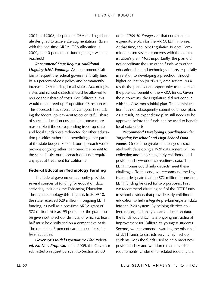ule designed to accelerate augmentations. (Even with the one-time ARRA IDEA allocation in 2009, the 40 percent full-funding target was not reached.)

*Recommend State Request Additional*  **Ongoing IDEA Funding.** We recommend California request the federal government fully fund its 40 percent-of-cost policy and permanently increase IDEA funding for all states. Accordingly, states and school districts should be allowed to reduce their share of costs. For California, this would mean freed up Proposition 98 resources. This approach has several advantages. First, asking the federal government to cover its full share of special education costs might appear more reasonable if the corresponding freed-up state and local funds were redirected for other education priorities rather than benefitting other parts of the state budget. Second, our approach would provide ongoing rather than one-time benefit to the state. Lastly, our approach does not require any special treatment for California.

#### **Federal Education Technology Funding**

The federal government currently provides several sources of funding for education data activities, including the Enhancing Education Through Technology (EETT) grant. In 2009-10, the state received \$29 million in ongoing EETT funding, as well as a one-time ARRA grant of \$72 million. At least 95 percent of the grant must be given out to school districts, of which at least half must be distributed on a competitive basis. The remaining 5 percent can be used for statelevel activities.

*Governor's Initial Expenditure Plan Rejected, No New Proposal.* In fall 2009, the Governor submitted a request pursuant to Section 28.00

of the *2009-10 Budget Act* that contained an expenditure plan for the ARRA EETT monies. At that time, the Joint Legislative Budget Committee raised several concerns with the administration's plan. Most importantly, the plan did not coordinate the use of the funds with other education data and technology efforts, especially in relation to developing a preschool through higher education (or "P-20") data system. As a result, the plan lost an opportunity to maximize the potential benefit of the ARRA funds. Given these concerns, the Legislature did not concur with the Governor's initial plan. The administration has not subsequently submitted a new plan. As a result, an expenditure plan still needs to be approved before the funds can be used to benefit local data efforts.

2004 and 2008. despite the IDEA funding sched and the 2009-10 dedge of and 2008-10 designed to accelerate augmentations. Form an equivalent the constant of the constant of the constant of the constant of the singular parti *Recommend Developing Coordinated Plan Targeting Preschool and High School Data*  **Needs.** One of the greatest challenges associated with developing a P-20 data system will be collecting and integrating early childhood and postsecondary/workforce readiness data. The EETT monies could help districts meet these challenges. To this end, we recommend the Legislature designate that the \$72 million in one-time EETT funding be used for two purposes. First, we recommend directing half of the EETT funds to school districts that provide early childhood education to help integrate pre-kindergarten data into the P-20 system. By helping districts collect, report, and analyze early education data, the funds would facilitate ongoing instructional improvement for California's youngest students. Second, we recommend awarding the other half of EETT funds to districts serving high school students, with the funds used to help meet new postsecondary and workforce readiness data requirements. Under other related federal grant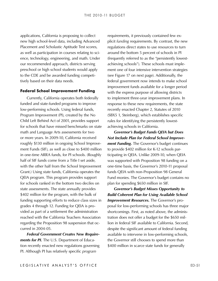applications, California is proposing to collect new high school-level data, including Advanced Placement and Scholastic Aptitude Test scores, as well as participation in courses relating to science, technology, engineering, and math. Under our recommended approach, districts serving preschool or high school students would apply to the CDE and be awarded funding competitively based on their data needs.

#### **Federal School Improvement Funding**

Currently, California operates both federally funded and state-funded programs to improve low-performing schools. Using federal funds, Program Improvement (PI), created by the No Child Left Behind Act of 2001, provides support for schools that have missed benchmarks on state math and Language Arts assessments for two or more years. In 2009-10, California received roughly \$130 million in ongoing School Improvement Funds (SIF), as well as close to \$400 million in one-time ARRA funds, for PI schools. (Roughly half of SIF funds come from a Title I set aside, with the other half from the School Improvement Grant.) Using state funds, California operates the QEIA program. This program provides support for schools ranked in the bottom two deciles on state assessments. The state annually provides \$402 million for the program, with the bulk of funding supporting efforts to reduce class sizes in grades 4 through 12. Funding for QEIA is provided as part of a settlement the administration reached with the California Teachers Association regarding the Proposition 98 suspension that oc‑ curred in 2004‑05.

*Federal Government Creates New Requirements for PI.* The U.S. Department of Education recently enacted new regulations governing PI. Although PI has relatively specific *program*

requirements, it previously contained few explicit *funding* requirements. By contrast, the new regulations direct states to use resources to turn around the bottom 5 percent of schools in PI (frequently referred to as the "persistently lowestachieving schools"). These schools must implement one of four intensive intervention strategies (see Figure 17 on next page). Additionally, the federal government now intends to make school improvement funds available for a longer period with the express purpose of allowing districts to implement three-year improvement plans. In response to these new requirements, the state recently enacted Chapter 2, Statutes of 2010 (SBX5 1, Steinberg), which establishes specific rules for identifying the persistently lowestachieving schools in California.

*Governor's Budget Funds QEIA but Does Not Include Plan for Federal School Improvement Funding.* The Governor's budget continues to provide \$402 million for K-12 schools participating in QEIA. Unlike 2009-10, when QEIA was supported with Proposition 98 funding on a one-time basis, the Governor's 2010-11 proposal funds QEIA with non-Proposition 98 General Fund monies. The Governor's budget contains no plan for spending \$650 million in SIF.

*Governor's Budget Misses Opportunity to Build Coherent Plan for Using Available School*  **Improvement Resources.** The Governor's proposal for low-performing schools has three major shortcomings. First, as noted above, the administration does not offer a budget for the \$650 million in federal SIF available to California. Second, despite the significant amount of federal funding available to intervene in low-performing schools, the Governor still chooses to spend more than \$400 million in scarce state funds for generally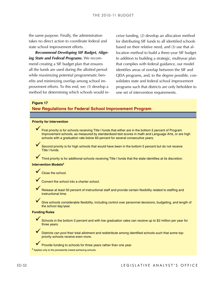the same purpose. Finally, the administration takes no direct action to coordinate federal and state school improvement efforts.

*Recommend Developing SIF Budget, Align*ing State and Federal Programs. We recommend creating a SIF budget plan that ensures all the funds are used during the allotted period while maximizing potential programmatic benefits and minimizing overlap among school im‑ provement efforts. To this end, we: (1) develop a method for determining which schools would re‑ ceive funding, (2) develop an allocation method for distributing SIF funds to all identified schools based on their relative need, and (3) use that allocation method to build a three-year SIF budget. In addition to building a strategic, multiyear plan that complies with federal guidance, our model identifies areas of overlap between the SIF and QEIA programs, and, to the degree possible, con‑ solidates state and federal school improvement programs such that districts are only beholden to one set of intervention requirements.

## **New Regulations for Federal School Improvement Program**

#### **Priority for Intervention**

**Figure 17**<br> **New Regulations for Federal School Improvement Program**<br> **Priority for Intervention**<br> **Priority is for schools recolving Title I funds that either are in the bottom 5 percent of Program**<br>
Improvement are pos First priority is for schools receiving Title I funds that either are in the bottom 5 percent of Program Improvement schools, as measured by standardized test scores in math and Language Arts, or are high schools with a graduation rate below 60 percent for several consecutive years.

Second priority is for high schools that would have been in the bottom 5 percent but do not receive Title I funds.

Third priority is for additional schools receiving Title I funds that the state identifies at its discretion.

#### **Intervention Models<sup>a</sup>**

 $\checkmark$  Close the school.

Convert the school into a charter school.

Release at least 50 percent of instructional staff and provide certain flexibility related to staffing and instructional time.

Give schools considerable flexibility, including control over personnel decisions, budgeting, and length of the school day/year.

#### **Funding Rules**

Schools in the bottom 5 percent and with low graduation rates can receive up to \$2 million per year for three years.

Districts can pool their total allotment and redistribute among identified schools such that some toppriority schools receive even more.

Provide funding to schools for three years rather than one year. a Applies only to the persistently lowest-achieving schools.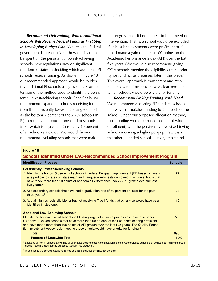*Recommend Determining Which Additional Schools Will Receive Federal Funds as First Step in Developing Budget Plan.* Whereas the federal government is prescriptive in how funds are to be spent on the persistently lowest-achieving schools, new regulations provide significant freedom to states in deciding which additional PI schools receive funding. As shown in Figure 18, our recommended approach would be to identify additional PI schools using essentially an extension of the method used to identify the persistently lowest-achieving schools. Specifically, we recommend expanding schools receiving funding from the persistently lowest achieving (defined as the bottom 5 percent of the 2,797 schools in PI) to roughly the bottom one-third of schools in PI, which is equivalent to roughly 10 percent of all schools statewide. We would, however, recommend excluding schools that were making progress and did not appear to be in need of intervention. That is, a school would be excluded if at least half its students were proficient or if it had made a gain of at least 100 points on the Academic Performance Index (API) over the last five years. (We would also recommend giving QEIA schools meeting the eligibility criteria priority for funding, as discussed later in this piece.) This overall approach is transparent and rational—allowing districts to have a clear sense of which schools would be eligible for funding.

*Recommend Linking Funding With Need.*  We recommend allocating SIF funds to schools in a way that matches funding to the needs of the school. Under our proposed allocation method, most funding would be based on school-wide enrollment, with the persistently lowest-achieving schools receiving a higher per-pupil rate than the other identified schools. Linking most fund‑

#### **Figure 18**

#### **Schools Identified Under LAO-Recommended School Improvement Program**

| <b>Identification Process</b>                                                                                                                                                                                                                                                                                                                                                                                                                  | <b>Schools</b> |
|------------------------------------------------------------------------------------------------------------------------------------------------------------------------------------------------------------------------------------------------------------------------------------------------------------------------------------------------------------------------------------------------------------------------------------------------|----------------|
| <b>Persistently Lowest-Achieving Schools</b><br>1. Identify the bottom 5 percent of schools in federal Program Improvement (PI) based on aver-<br>age proficiency rates on state math and Language Arts tests combined. Exclude schools that<br>have made more than 50 points of Academic Performance Index (API) growth over the last<br>five years. <sup>a</sup>                                                                             | 177            |
| 2. Add secondary schools that have had a graduation rate of 60 percent or lower for the past<br>three years. <sup>b</sup>                                                                                                                                                                                                                                                                                                                      | 27             |
| 3. Add all high schools eligible for but not receiving Title I funds that otherwise would have been<br>identified in step one.                                                                                                                                                                                                                                                                                                                 | 10             |
| <b>Additional Low-Achieving Schools</b><br>Identify the bottom third of schools in PI using largely the same process as described under<br>(1) above. Exclude schools that have more than 50 percent of their students scoring proficient<br>and have made more than 100 points of API growth over the last five years. The Quality Educa-<br>tion Investment Act schools meeting these criteria would have priority for funding. <sup>a</sup> | 776            |
| <b>Total</b>                                                                                                                                                                                                                                                                                                                                                                                                                                   | 990            |
| <b>Percent of Statewide Total</b>                                                                                                                                                                                                                                                                                                                                                                                                              | 10%            |
| a Excludes all non-PI schools as well as all alternative schools except continuation schools. Also excludes schools that do not meet minimum group<br>size for federal accountability purposes (usually 100 students).                                                                                                                                                                                                                         |                |

b In addition to the schools excluded in step one, also excludes continuation schools.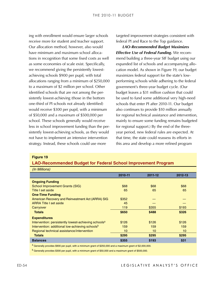#### **Figure 19**

#### **LAO-Recommended Budget for Federal School Improvement Program**

| ing with enrollment would ensure larger schools                                                                     | targeted improvement strategies consistent with                                                   |                                                                                                    |              |  |
|---------------------------------------------------------------------------------------------------------------------|---------------------------------------------------------------------------------------------------|----------------------------------------------------------------------------------------------------|--------------|--|
| receive more for student and teacher support.                                                                       |                                                                                                   | federal PI and Race to the Top guidance.                                                           |              |  |
| Our allocation method, however, also would                                                                          |                                                                                                   | <b>LAO-Recommended Budget Maximizes</b>                                                            |              |  |
| have minimum and maximum school alloca-                                                                             |                                                                                                   | <b>Effective Use of Federal Funding. We recom-</b>                                                 |              |  |
| tions in recognition that some fixed costs as well                                                                  | mend building a three-year SIF budget using our                                                   |                                                                                                    |              |  |
| as some economies of scale exist. Specifically,                                                                     |                                                                                                   | expanded list of schools and accompanying allo-                                                    |              |  |
| we recommend giving the persistently lowest-                                                                        |                                                                                                   | cation model. As shown in Figure 19, our budget                                                    |              |  |
| achieving schools \$900 per pupil, with total                                                                       |                                                                                                   | maximizes federal support for the state's low-                                                     |              |  |
| allocations ranging from a minimum of \$250,000                                                                     |                                                                                                   | performing schools while adhering to the federal                                                   |              |  |
| to a maximum of \$2 million per school. Other                                                                       |                                                                                                   | government's three-year budget cycle. (Our                                                         |              |  |
| identified schools that are not among the per-                                                                      |                                                                                                   | budget leaves a \$31 million cushion that could                                                    |              |  |
| sistently lowest-achieving (those in the bottom                                                                     |                                                                                                   | be used to fund some additional very high-need                                                     |              |  |
| one-third of PI schools not already identified)                                                                     |                                                                                                   |                                                                                                    |              |  |
| would receive \$300 per pupil, with a minimum                                                                       |                                                                                                   | schools that enter PI after 2010-11. Our budget<br>also continues to provide \$10 million annually |              |  |
| of \$50,000 and a maximum of \$500,000 per                                                                          |                                                                                                   | for regional technical assistance and intervention                                                 |              |  |
| school. These schools generally would receive                                                                       |                                                                                                   |                                                                                                    |              |  |
| less in school improvement funding than the per-                                                                    | mainly to ensure some funding remains budgeted<br>for regional support.) By the end of the three- |                                                                                                    |              |  |
| sistently lowest-achieving schools, as they would                                                                   | year period, new federal rules are expected. At                                                   |                                                                                                    |              |  |
| not have to implement an intensive intervention                                                                     | that time, the state could reassess its efforts in                                                |                                                                                                    |              |  |
| strategy. Instead, these schools could use more                                                                     |                                                                                                   | this area and develop a more refined program                                                       |              |  |
|                                                                                                                     |                                                                                                   |                                                                                                    |              |  |
| <b>Figure 19</b><br><b>LAO-Recommended Budget for Federal School Improvement Program</b><br>(In Millions)           |                                                                                                   |                                                                                                    |              |  |
|                                                                                                                     | 2010-11                                                                                           | 2011-12                                                                                            | 2012-13      |  |
| <b>Ongoing Funding</b>                                                                                              |                                                                                                   |                                                                                                    |              |  |
| <b>School Improvement Grants (SIG)</b>                                                                              | \$68                                                                                              | \$68                                                                                               | \$68         |  |
| Title I set aside                                                                                                   | 65                                                                                                | 65                                                                                                 | 65           |  |
| <b>One-Time Funding</b><br>American Recovery and Reinvestment Act (ARRA) SIG                                        | \$352                                                                                             |                                                                                                    |              |  |
| <b>ARRA Title I set aside</b>                                                                                       | 45                                                                                                |                                                                                                    |              |  |
| Carryover                                                                                                           | 119                                                                                               | \$355                                                                                              | \$193        |  |
| <b>Totals</b>                                                                                                       | \$650                                                                                             | \$488                                                                                              | \$326        |  |
| <b>Expenditures</b>                                                                                                 |                                                                                                   |                                                                                                    |              |  |
| Intervention: persistently lowest-achieving schools <sup>a</sup><br>Intervention: additional low-achieving schoolsb | \$126<br>159                                                                                      | \$126<br>159                                                                                       | \$126<br>159 |  |
| Regional technical assistance/intervention                                                                          | 10                                                                                                | 10                                                                                                 | 10           |  |
| <b>Totals</b>                                                                                                       | \$295                                                                                             | \$295                                                                                              | \$295        |  |
| <b>Balances</b>                                                                                                     | \$355                                                                                             | \$193                                                                                              | \$31         |  |
| a Generally provides \$900 per pupil, with a minimum grant of \$250,000 and a maximum grant of \$2,000,000.         |                                                                                                   |                                                                                                    |              |  |
| $b$ Generally provides \$300 per pupil, with a minimum grant of \$50,000 and a maximum grant of \$500,000.          |                                                                                                   |                                                                                                    |              |  |
|                                                                                                                     |                                                                                                   |                                                                                                    |              |  |
|                                                                                                                     |                                                                                                   |                                                                                                    |              |  |
|                                                                                                                     |                                                                                                   | LEGISLATIVE ANALYST'S OFFICI                                                                       |              |  |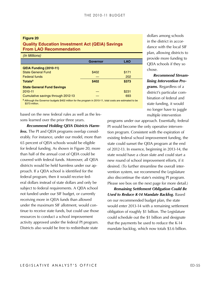#### **Figure 20 Quality Education Investment Act (QEIA) Savings From LAO Recommendation**

| (In Millions)                                                                                                               |                 |            |  |  |
|-----------------------------------------------------------------------------------------------------------------------------|-----------------|------------|--|--|
|                                                                                                                             | <b>Governor</b> | <b>LAO</b> |  |  |
| <b>QEIA Funding (2010-11)</b>                                                                                               |                 |            |  |  |
| <b>State General Fund</b>                                                                                                   | \$402           | \$171      |  |  |
| <b>Federal funds</b>                                                                                                        |                 | 202        |  |  |
| <b>Totals<sup>a</sup></b>                                                                                                   | \$402           | \$373      |  |  |
| <b>State General Fund Savings</b>                                                                                           |                 |            |  |  |
| 2010-11                                                                                                                     |                 | \$231      |  |  |
| Cumulative savings through 2012-13                                                                                          |                 | 693        |  |  |
| a Although the Governor budgets \$402 million for the program in 2010-11, total costs are estimated to be<br>\$373 million. |                 |            |  |  |

based on the new federal rules as well as the lessons learned over the prior three years.

*Recommend Holding QEIA Districts Harm***less.** The PI and QEIA programs overlap considerably. For instance, under our model, more than 65 percent of QEIA schools would be eligible for federal funding. As shown in Figure 20, more than half of the annual cost of QEIA could be covered with federal funds. Moreover, all QEIA districts would be held harmless under our approach. If a QEIA school is identified for the federal program, then it would receive federal dollars instead of state dollars and only be subject to federal requirements. A QEIA school not funded under our SIF budget, or currently receiving more in QEIA funds than allowed under the maximum SIF allotment, would continue to receive state funds, but could use those resources to conduct a school improvement activity approved under the federal PI program. Districts also would be free to redistribute state

dollars among schools in the district in accordance with the local SIF plan, allowing districts to provide more funding to QEIA schools if they so chose.

*Recommend Streamlining Intervention Programs.* Regardless of a district's particular combination of federal and state funding, it would no longer have to juggle multiple intervention

programs under our approach. Essentially, federal PI would become the only operative intervention program. Consistent with the expiration of existing federal school improvement funding, the state could sunset the QEIA program at the end of 2012-13. In essence, beginning in 2013-14, the state would have a clean slate and could start a new round of school improvement efforts, if it desired. (To further streamline the overall intervention system, we recommend the Legislature also discontinue the state's existing PI program. Please see box on the next page for more detail.)

*Remaining Settlement Obligation Could Be Used to Reduce K-14 Mandate Backlog.* Based on our recommended budget plan, the state would enter 2013-14 with a remaining settlement obligation of roughly \$1 billion. The Legislature could schedule out the \$1 billion and designate that the payments be used to reduce the K-14 mandate backlog, which now totals \$3.6 billion.